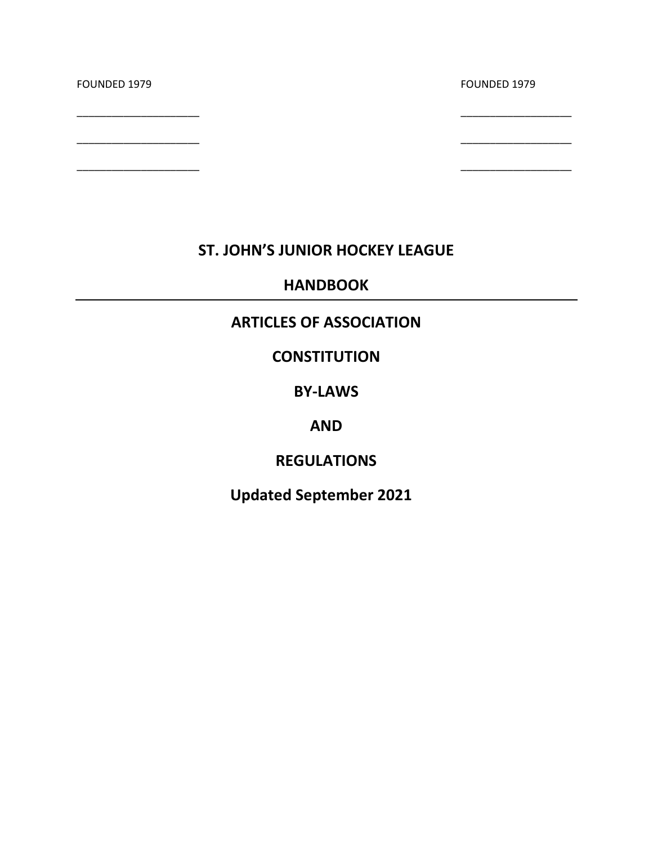| FOUNDED 1979 | FOUNDED 1979 |
|--------------|--------------|
|              |              |
|              |              |

# **ST. JOHN'S JUNIOR HOCKEY LEAGUE**

# **HANDBOOK**

# **ARTICLES OF ASSOCIATION**

# **CONSTITUTION**

# **BY-LAWS**

# **AND**

# **REGULATIONS**

# **Updated September 2021**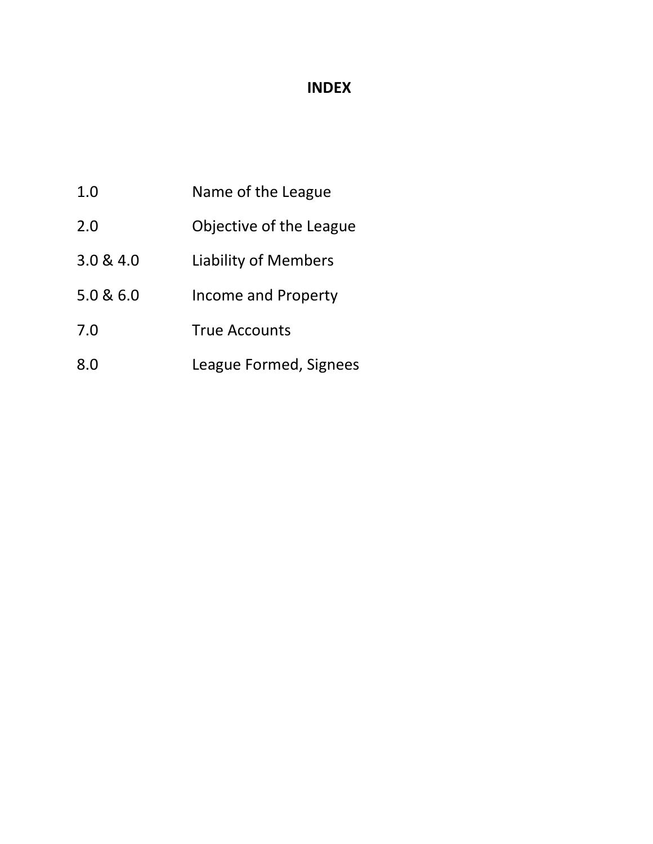# **INDEX**

- 1.0 Name of the League
- 2.0 Objective of the League
- 3.0 & 4.0 Liability of Members
- 5.0 & 6.0 Income and Property
- 7.0 True Accounts
- 8.0 League Formed, Signees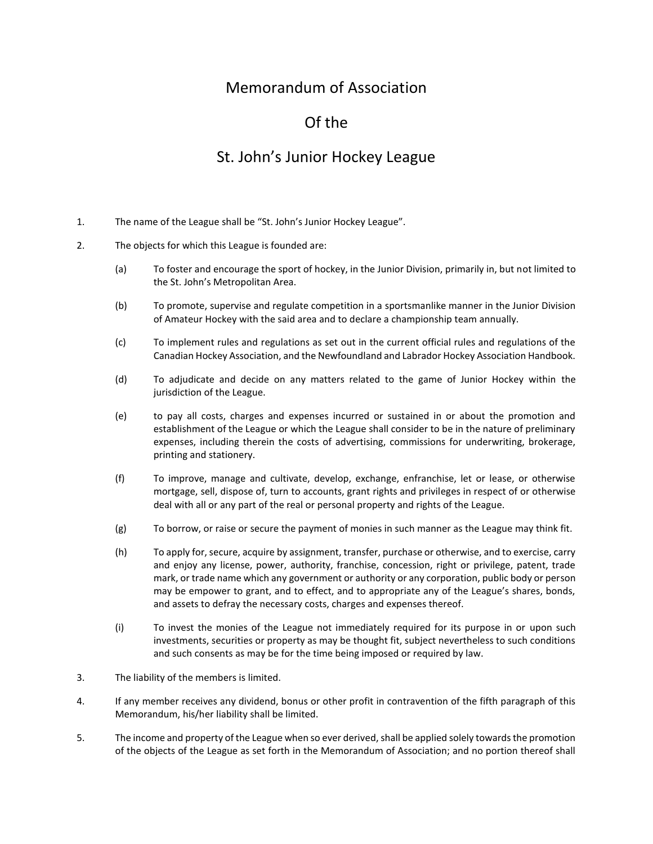# Memorandum of Association

# Of the

# St. John's Junior Hockey League

- 1. The name of the League shall be "St. John's Junior Hockey League".
- 2. The objects for which this League is founded are:
	- (a) To foster and encourage the sport of hockey, in the Junior Division, primarily in, but not limited to the St. John's Metropolitan Area.
	- (b) To promote, supervise and regulate competition in a sportsmanlike manner in the Junior Division of Amateur Hockey with the said area and to declare a championship team annually.
	- (c) To implement rules and regulations as set out in the current official rules and regulations of the Canadian Hockey Association, and the Newfoundland and Labrador Hockey Association Handbook.
	- (d) To adjudicate and decide on any matters related to the game of Junior Hockey within the jurisdiction of the League.
	- (e) to pay all costs, charges and expenses incurred or sustained in or about the promotion and establishment of the League or which the League shall consider to be in the nature of preliminary expenses, including therein the costs of advertising, commissions for underwriting, brokerage, printing and stationery.
	- (f) To improve, manage and cultivate, develop, exchange, enfranchise, let or lease, or otherwise mortgage, sell, dispose of, turn to accounts, grant rights and privileges in respect of or otherwise deal with all or any part of the real or personal property and rights of the League.
	- (g) To borrow, or raise or secure the payment of monies in such manner as the League may think fit.
	- (h) To apply for, secure, acquire by assignment, transfer, purchase or otherwise, and to exercise, carry and enjoy any license, power, authority, franchise, concession, right or privilege, patent, trade mark, or trade name which any government or authority or any corporation, public body or person may be empower to grant, and to effect, and to appropriate any of the League's shares, bonds, and assets to defray the necessary costs, charges and expenses thereof.
	- (i) To invest the monies of the League not immediately required for its purpose in or upon such investments, securities or property as may be thought fit, subject nevertheless to such conditions and such consents as may be for the time being imposed or required by law.
- 3. The liability of the members is limited.
- 4. If any member receives any dividend, bonus or other profit in contravention of the fifth paragraph of this Memorandum, his/her liability shall be limited.
- 5. The income and property of the League when so ever derived, shall be applied solely towards the promotion of the objects of the League as set forth in the Memorandum of Association; and no portion thereof shall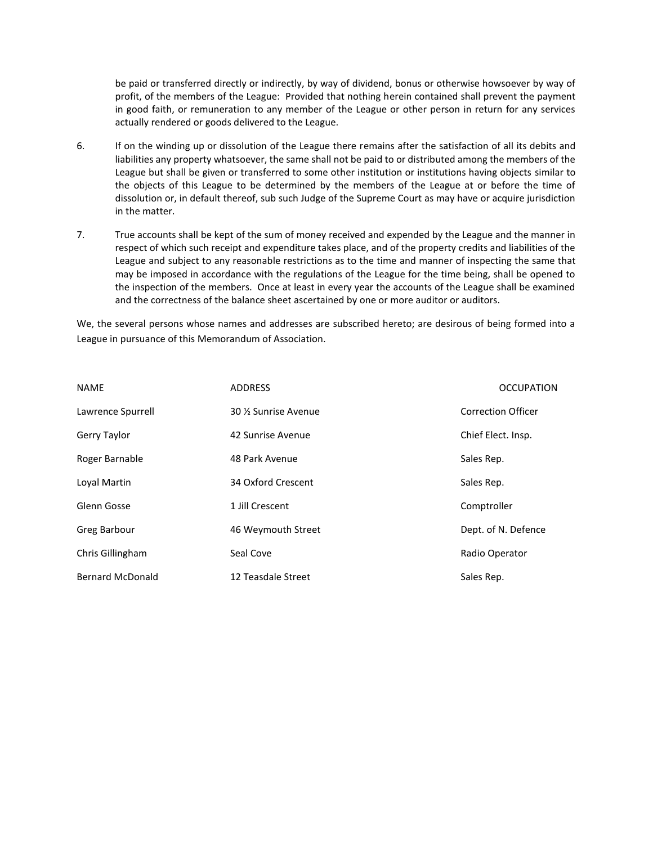be paid or transferred directly or indirectly, by way of dividend, bonus or otherwise howsoever by way of profit, of the members of the League: Provided that nothing herein contained shall prevent the payment in good faith, or remuneration to any member of the League or other person in return for any services actually rendered or goods delivered to the League.

- 6. If on the winding up or dissolution of the League there remains after the satisfaction of all its debits and liabilities any property whatsoever, the same shall not be paid to or distributed among the members of the League but shall be given or transferred to some other institution or institutions having objects similar to the objects of this League to be determined by the members of the League at or before the time of dissolution or, in default thereof, sub such Judge of the Supreme Court as may have or acquire jurisdiction in the matter.
- 7. True accounts shall be kept of the sum of money received and expended by the League and the manner in respect of which such receipt and expenditure takes place, and of the property credits and liabilities of the League and subject to any reasonable restrictions as to the time and manner of inspecting the same that may be imposed in accordance with the regulations of the League for the time being, shall be opened to the inspection of the members. Once at least in every year the accounts of the League shall be examined and the correctness of the balance sheet ascertained by one or more auditor or auditors.

We, the several persons whose names and addresses are subscribed hereto; are desirous of being formed into a League in pursuance of this Memorandum of Association.

| <b>NAME</b>             | <b>ADDRESS</b>      | <b>OCCUPATION</b>         |
|-------------------------|---------------------|---------------------------|
| Lawrence Spurrell       | 30 % Sunrise Avenue | <b>Correction Officer</b> |
| Gerry Taylor            | 42 Sunrise Avenue   | Chief Elect. Insp.        |
| Roger Barnable          | 48 Park Avenue      | Sales Rep.                |
| Loval Martin            | 34 Oxford Crescent  | Sales Rep.                |
| Glenn Gosse             | 1 Jill Crescent     | Comptroller               |
| <b>Greg Barbour</b>     | 46 Weymouth Street  | Dept. of N. Defence       |
| Chris Gillingham        | Seal Cove           | Radio Operator            |
| <b>Bernard McDonald</b> | 12 Teasdale Street  | Sales Rep.                |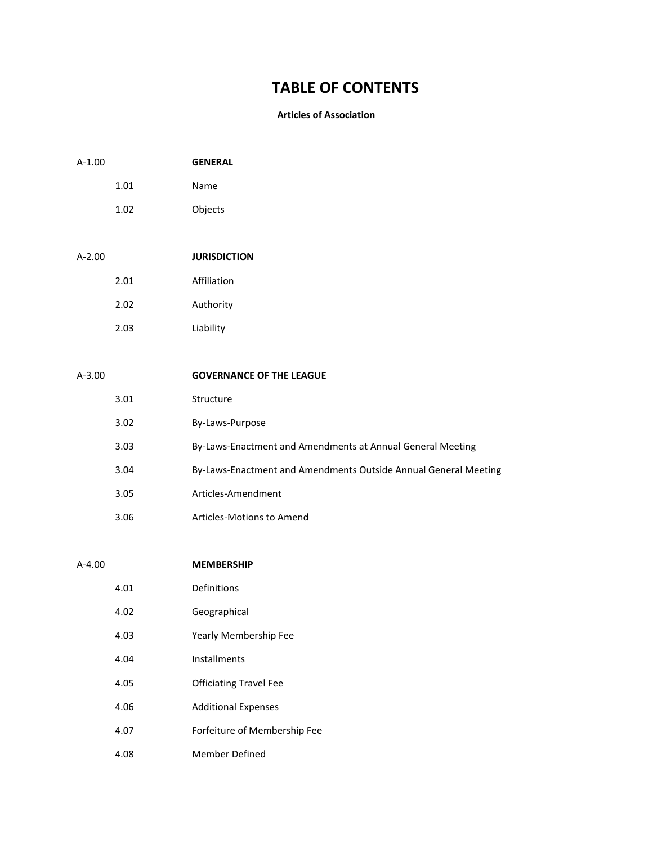# **TABLE OF CONTENTS**

#### **Articles of Association**

| $A-1.00$ |      | <b>GENERAL</b>                                                  |
|----------|------|-----------------------------------------------------------------|
|          | 1.01 | Name                                                            |
|          | 1.02 | Objects                                                         |
|          |      |                                                                 |
| $A-2.00$ |      | <b>JURISDICTION</b>                                             |
|          | 2.01 | Affiliation                                                     |
|          | 2.02 | Authority                                                       |
|          | 2.03 | Liability                                                       |
|          |      |                                                                 |
| $A-3.00$ |      | <b>GOVERNANCE OF THE LEAGUE</b>                                 |
|          | 3.01 | Structure                                                       |
|          | 3.02 | By-Laws-Purpose                                                 |
|          | 3.03 | By-Laws-Enactment and Amendments at Annual General Meeting      |
|          | 3.04 | By-Laws-Enactment and Amendments Outside Annual General Meeting |
|          | 3.05 | Articles-Amendment                                              |
|          | 3.06 | Articles-Motions to Amend                                       |
|          |      |                                                                 |
| $A-4.00$ |      | <b>MEMBERSHIP</b>                                               |
|          | 4.01 | Definitions                                                     |
|          | 4.02 | Geographical                                                    |
|          | 4.03 | Yearly Membership Fee                                           |

- 4.04 Installments
- 4.05 Officiating Travel Fee
- 4.06 Additional Expenses
- 4.07 Forfeiture of Membership Fee
- 4.08 Member Defined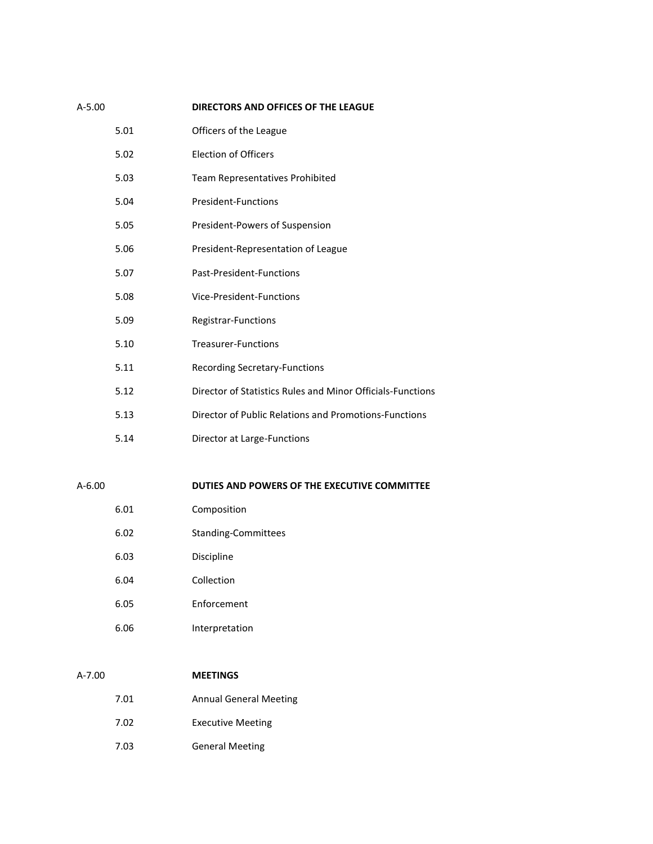| A-5.00 |      | DIRECTORS AND OFFICES OF THE LEAGUE                        |
|--------|------|------------------------------------------------------------|
|        | 5.01 | Officers of the League                                     |
|        | 5.02 | <b>Election of Officers</b>                                |
|        | 5.03 | Team Representatives Prohibited                            |
|        | 5.04 | <b>President-Functions</b>                                 |
|        | 5.05 | President-Powers of Suspension                             |
|        | 5.06 | President-Representation of League                         |
|        | 5.07 | Past-President-Functions                                   |
|        | 5.08 | Vice-President-Functions                                   |
|        | 5.09 | Registrar-Functions                                        |
|        | 5.10 | <b>Treasurer-Functions</b>                                 |
|        | 5.11 | <b>Recording Secretary-Functions</b>                       |
|        | 5.12 | Director of Statistics Rules and Minor Officials-Functions |
|        | 5.13 | Director of Public Relations and Promotions-Functions      |
|        | 5.14 | Director at Large-Functions                                |
|        |      |                                                            |
|        |      |                                                            |

# A-6.00 **DUTIES AND POWERS OF THE EXECUTIVE COMMITTEE**

| 6.01 | Composition |
|------|-------------|
|------|-------------|

- 6.02 Standing-Committees
- 6.03 Discipline
- 6.04 Collection
- 6.05 Enforcement
- 6.06 Interpretation

## A-7.00 **MEETINGS**

- 7.01 Annual General Meeting
	- 7.02 Executive Meeting
	- 7.03 General Meeting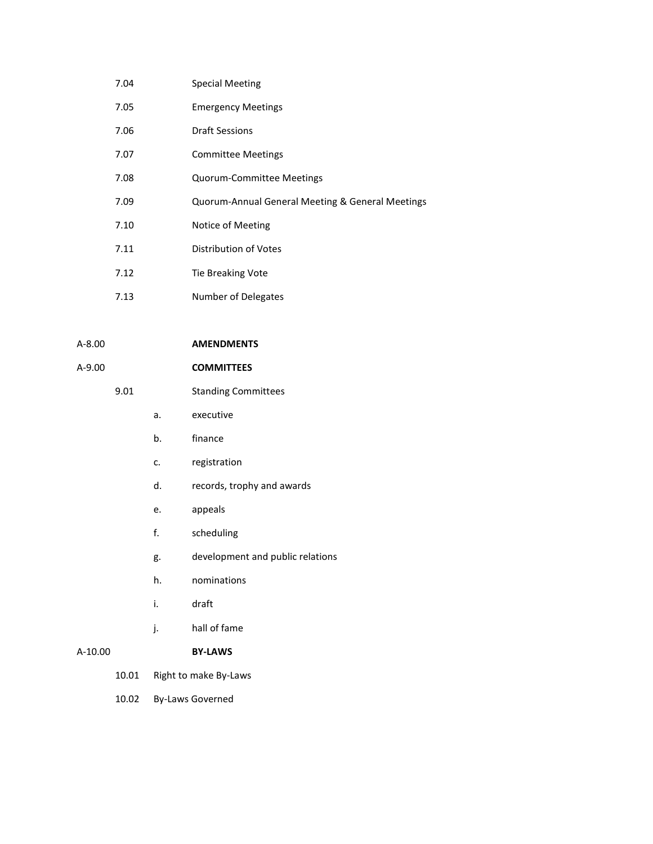| 7.04 | <b>Special Meeting</b>                           |
|------|--------------------------------------------------|
| 7.05 | <b>Emergency Meetings</b>                        |
| 7.06 | <b>Draft Sessions</b>                            |
| 7.07 | <b>Committee Meetings</b>                        |
| 7.08 | <b>Quorum-Committee Meetings</b>                 |
| 7.09 | Quorum-Annual General Meeting & General Meetings |
| 7.10 | Notice of Meeting                                |
| 7.11 | Distribution of Votes                            |
| 7.12 | Tie Breaking Vote                                |
| 7.13 | Number of Delegates                              |

A-8.00 **AMENDMENTS**

# A-9.00 **COMMITTEES**

# 9.01 Standing Committees

a. executive

- b. finance
- c. registration
- d. records, trophy and awards
- e. appeals
- f. scheduling
- g. development and public relations
- h. nominations
- i. draft
- j. hall of fame

# A-10.00 **BY-LAWS**

- 10.01 Right to make By-Laws
- 10.02 By-Laws Governed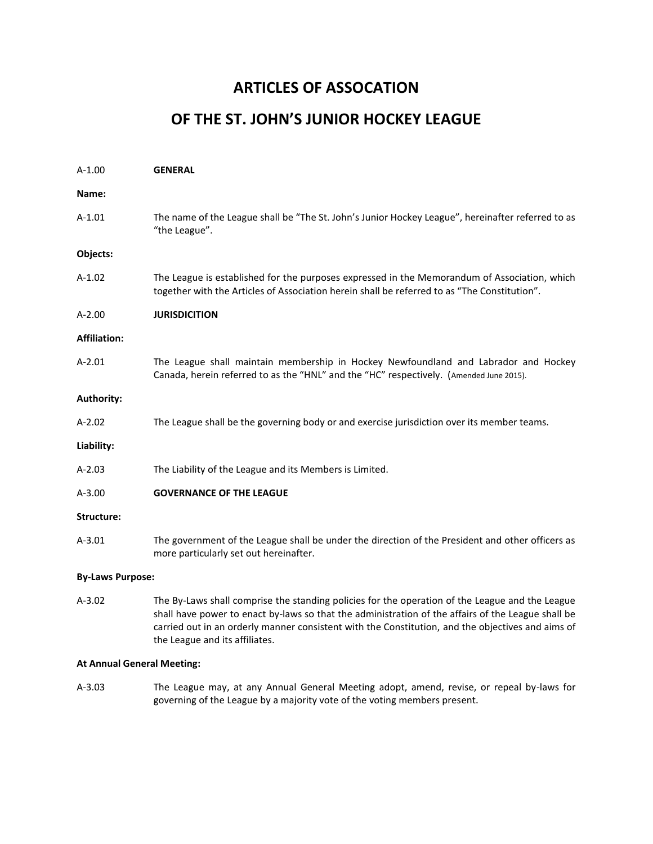# **ARTICLES OF ASSOCATION**

# **OF THE ST. JOHN'S JUNIOR HOCKEY LEAGUE**

| $A-1.00$                | <b>GENERAL</b>                                                                                                                                                                                                                                                                                                                               |
|-------------------------|----------------------------------------------------------------------------------------------------------------------------------------------------------------------------------------------------------------------------------------------------------------------------------------------------------------------------------------------|
| Name:                   |                                                                                                                                                                                                                                                                                                                                              |
| $A-1.01$                | The name of the League shall be "The St. John's Junior Hockey League", hereinafter referred to as<br>"the League".                                                                                                                                                                                                                           |
| Objects:                |                                                                                                                                                                                                                                                                                                                                              |
| $A-1.02$                | The League is established for the purposes expressed in the Memorandum of Association, which<br>together with the Articles of Association herein shall be referred to as "The Constitution".                                                                                                                                                 |
| $A-2.00$                | <b>JURISDICITION</b>                                                                                                                                                                                                                                                                                                                         |
| <b>Affiliation:</b>     |                                                                                                                                                                                                                                                                                                                                              |
| $A-2.01$                | The League shall maintain membership in Hockey Newfoundland and Labrador and Hockey<br>Canada, herein referred to as the "HNL" and the "HC" respectively. (Amended June 2015).                                                                                                                                                               |
| <b>Authority:</b>       |                                                                                                                                                                                                                                                                                                                                              |
| $A-2.02$                | The League shall be the governing body or and exercise jurisdiction over its member teams.                                                                                                                                                                                                                                                   |
| Liability:              |                                                                                                                                                                                                                                                                                                                                              |
| $A-2.03$                | The Liability of the League and its Members is Limited.                                                                                                                                                                                                                                                                                      |
| $A-3.00$                | <b>GOVERNANCE OF THE LEAGUE</b>                                                                                                                                                                                                                                                                                                              |
| Structure:              |                                                                                                                                                                                                                                                                                                                                              |
| $A-3.01$                | The government of the League shall be under the direction of the President and other officers as<br>more particularly set out hereinafter.                                                                                                                                                                                                   |
| <b>By-Laws Purpose:</b> |                                                                                                                                                                                                                                                                                                                                              |
| $A-3.02$                | The By-Laws shall comprise the standing policies for the operation of the League and the League<br>shall have power to enact by-laws so that the administration of the affairs of the League shall be<br>carried out in an orderly manner consistent with the Constitution, and the objectives and aims of<br>the League and its affiliates. |

#### **At Annual General Meeting:**

A-3.03 The League may, at any Annual General Meeting adopt, amend, revise, or repeal by-laws for governing of the League by a majority vote of the voting members present.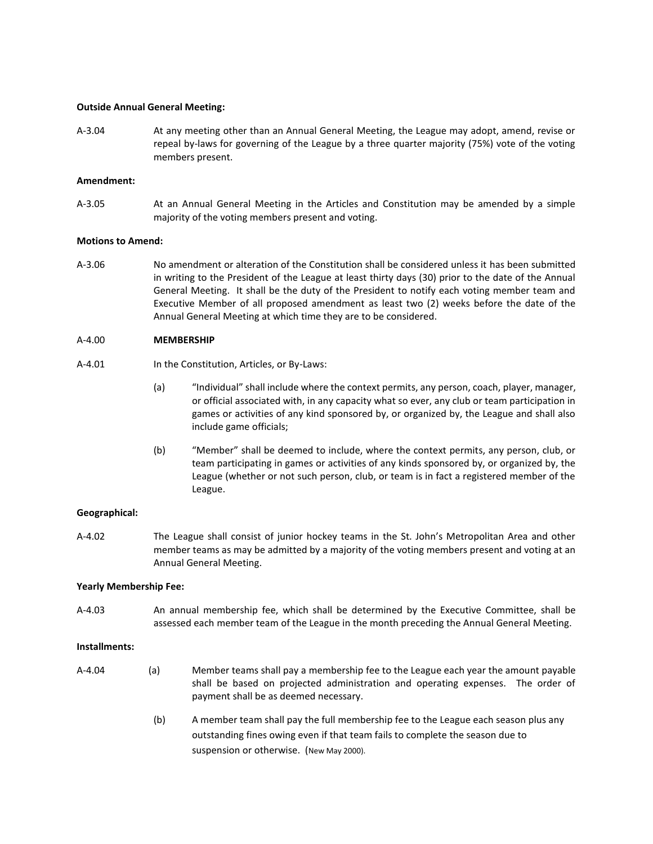#### **Outside Annual General Meeting:**

A-3.04 At any meeting other than an Annual General Meeting, the League may adopt, amend, revise or repeal by-laws for governing of the League by a three quarter majority (75%) vote of the voting members present.

#### **Amendment:**

A-3.05 At an Annual General Meeting in the Articles and Constitution may be amended by a simple majority of the voting members present and voting.

#### **Motions to Amend:**

A-3.06 No amendment or alteration of the Constitution shall be considered unless it has been submitted in writing to the President of the League at least thirty days (30) prior to the date of the Annual General Meeting. It shall be the duty of the President to notify each voting member team and Executive Member of all proposed amendment as least two (2) weeks before the date of the Annual General Meeting at which time they are to be considered.

#### A-4.00 **MEMBERSHIP**

- A-4.01 In the Constitution, Articles, or By-Laws:
	- (a) "Individual" shall include where the context permits, any person, coach, player, manager, or official associated with, in any capacity what so ever, any club or team participation in games or activities of any kind sponsored by, or organized by, the League and shall also include game officials;
	- (b) "Member" shall be deemed to include, where the context permits, any person, club, or team participating in games or activities of any kinds sponsored by, or organized by, the League (whether or not such person, club, or team is in fact a registered member of the League.

#### **Geographical:**

A-4.02 The League shall consist of junior hockey teams in the St. John's Metropolitan Area and other member teams as may be admitted by a majority of the voting members present and voting at an Annual General Meeting.

#### **Yearly Membership Fee:**

A-4.03 An annual membership fee, which shall be determined by the Executive Committee, shall be assessed each member team of the League in the month preceding the Annual General Meeting.

#### **Installments:**

- A-4.04 (a) Member teams shall pay a membership fee to the League each year the amount payable shall be based on projected administration and operating expenses. The order of payment shall be as deemed necessary.
	- (b) A member team shall pay the full membership fee to the League each season plus any outstanding fines owing even if that team fails to complete the season due to suspension or otherwise. (New May 2000).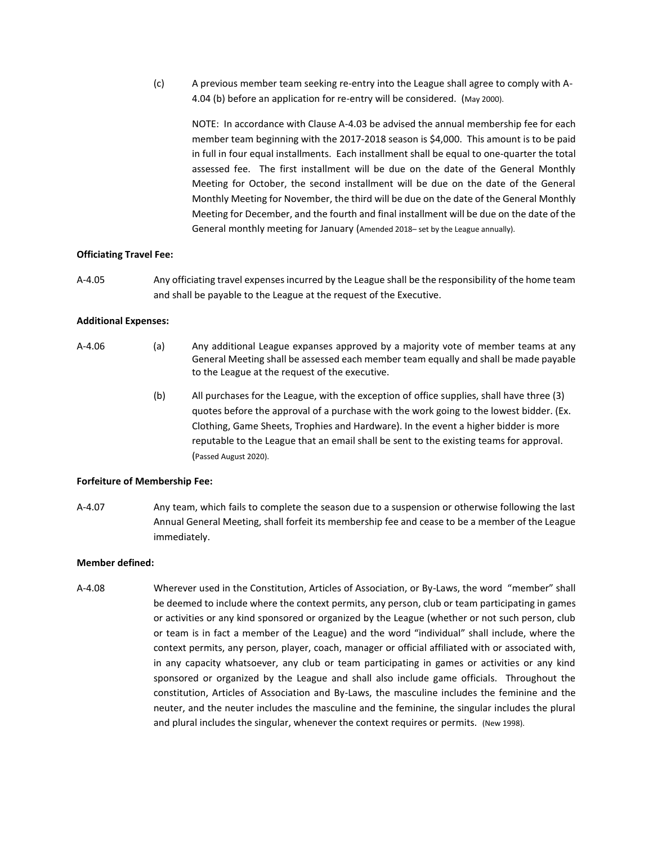(c) A previous member team seeking re-entry into the League shall agree to comply with A-4.04 (b) before an application for re-entry will be considered. (May 2000).

NOTE: In accordance with Clause A-4.03 be advised the annual membership fee for each member team beginning with the 2017-2018 season is \$4,000. This amount is to be paid in full in four equal installments. Each installment shall be equal to one-quarter the total assessed fee. The first installment will be due on the date of the General Monthly Meeting for October, the second installment will be due on the date of the General Monthly Meeting for November, the third will be due on the date of the General Monthly Meeting for December, and the fourth and final installment will be due on the date of the General monthly meeting for January (Amended 2018– set by the League annually).

#### **Officiating Travel Fee:**

A-4.05 Any officiating travel expenses incurred by the League shall be the responsibility of the home team and shall be payable to the League at the request of the Executive.

#### **Additional Expenses:**

- A-4.06 (a) Any additional League expanses approved by a majority vote of member teams at any General Meeting shall be assessed each member team equally and shall be made payable to the League at the request of the executive.
	- (b) All purchases for the League, with the exception of office supplies, shall have three (3) quotes before the approval of a purchase with the work going to the lowest bidder. (Ex. Clothing, Game Sheets, Trophies and Hardware). In the event a higher bidder is more reputable to the League that an email shall be sent to the existing teams for approval. (Passed August 2020).

#### **Forfeiture of Membership Fee:**

A-4.07 Any team, which fails to complete the season due to a suspension or otherwise following the last Annual General Meeting, shall forfeit its membership fee and cease to be a member of the League immediately.

#### **Member defined:**

A-4.08 Wherever used in the Constitution, Articles of Association, or By-Laws, the word "member" shall be deemed to include where the context permits, any person, club or team participating in games or activities or any kind sponsored or organized by the League (whether or not such person, club or team is in fact a member of the League) and the word "individual" shall include, where the context permits, any person, player, coach, manager or official affiliated with or associated with, in any capacity whatsoever, any club or team participating in games or activities or any kind sponsored or organized by the League and shall also include game officials. Throughout the constitution, Articles of Association and By-Laws, the masculine includes the feminine and the neuter, and the neuter includes the masculine and the feminine, the singular includes the plural and plural includes the singular, whenever the context requires or permits. (New 1998).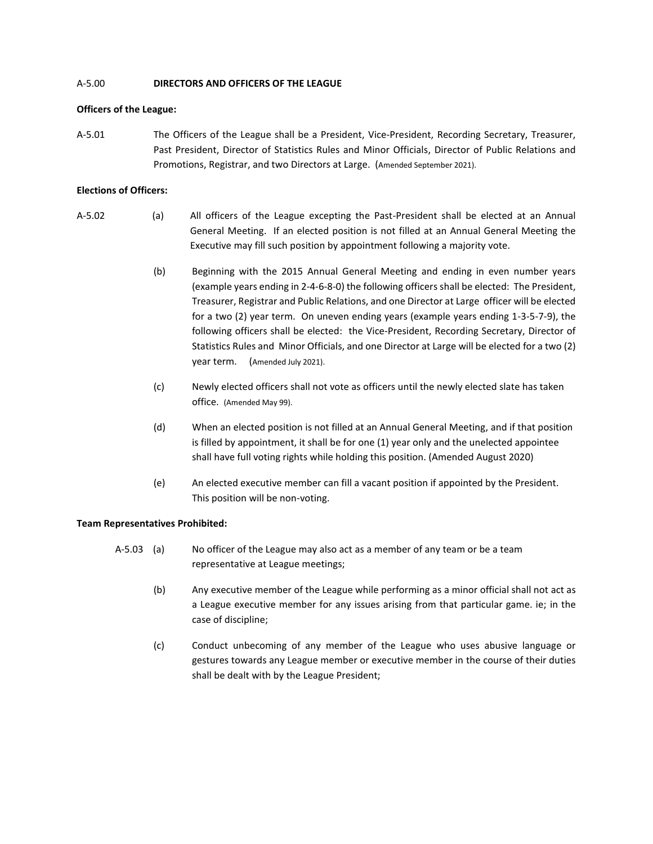## A-5.00 **DIRECTORS AND OFFICERS OF THE LEAGUE**

#### **Officers of the League:**

A-5.01 The Officers of the League shall be a President, Vice-President, Recording Secretary, Treasurer, Past President, Director of Statistics Rules and Minor Officials, Director of Public Relations and Promotions, Registrar, and two Directors at Large. (Amended September 2021).

#### **Elections of Officers:**

- A-5.02 (a) All officers of the League excepting the Past-President shall be elected at an Annual General Meeting. If an elected position is not filled at an Annual General Meeting the Executive may fill such position by appointment following a majority vote.
	- (b) Beginning with the 2015 Annual General Meeting and ending in even number years (example years ending in 2-4-6-8-0) the following officers shall be elected: The President, Treasurer, Registrar and Public Relations, and one Director at Large officer will be elected for a two (2) year term. On uneven ending years (example years ending 1-3-5-7-9), the following officers shall be elected: the Vice-President, Recording Secretary, Director of Statistics Rules and Minor Officials, and one Director at Large will be elected for a two (2) year term. (Amended July 2021).
	- (c) Newly elected officers shall not vote as officers until the newly elected slate has taken office. (Amended May 99).
	- (d) When an elected position is not filled at an Annual General Meeting, and if that position is filled by appointment, it shall be for one (1) year only and the unelected appointee shall have full voting rights while holding this position. (Amended August 2020)
	- (e) An elected executive member can fill a vacant position if appointed by the President. This position will be non-voting.

#### **Team Representatives Prohibited:**

- A-5.03 (a) No officer of the League may also act as a member of any team or be a team representative at League meetings;
	- (b) Any executive member of the League while performing as a minor official shall not act as a League executive member for any issues arising from that particular game. ie; in the case of discipline;
	- (c) Conduct unbecoming of any member of the League who uses abusive language or gestures towards any League member or executive member in the course of their duties shall be dealt with by the League President;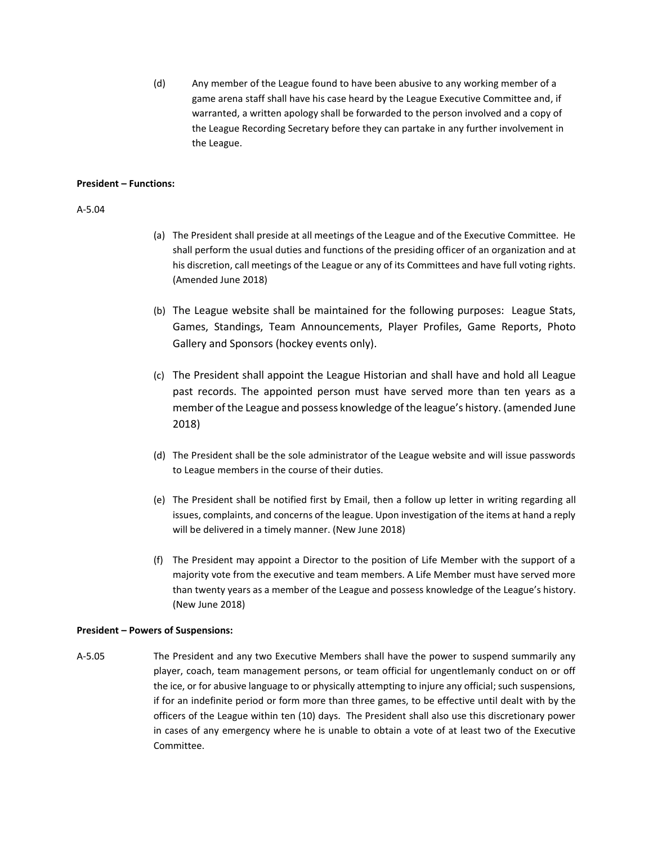(d) Any member of the League found to have been abusive to any working member of a game arena staff shall have his case heard by the League Executive Committee and, if warranted, a written apology shall be forwarded to the person involved and a copy of the League Recording Secretary before they can partake in any further involvement in the League.

#### **President – Functions:**

#### A-5.04

- (a) The President shall preside at all meetings of the League and of the Executive Committee. He shall perform the usual duties and functions of the presiding officer of an organization and at his discretion, call meetings of the League or any of its Committees and have full voting rights. (Amended June 2018)
- (b) The League website shall be maintained for the following purposes: League Stats, Games, Standings, Team Announcements, Player Profiles, Game Reports, Photo Gallery and Sponsors (hockey events only).
- (c) The President shall appoint the League Historian and shall have and hold all League past records. The appointed person must have served more than ten years as a member of the League and possess knowledge of the league's history. (amended June 2018)
- (d) The President shall be the sole administrator of the League website and will issue passwords to League members in the course of their duties.
- (e) The President shall be notified first by Email, then a follow up letter in writing regarding all issues, complaints, and concerns of the league. Upon investigation of the items at hand a reply will be delivered in a timely manner. (New June 2018)
- (f) The President may appoint a Director to the position of Life Member with the support of a majority vote from the executive and team members. A Life Member must have served more than twenty years as a member of the League and possess knowledge of the League's history. (New June 2018)

#### **President – Powers of Suspensions:**

A-5.05 The President and any two Executive Members shall have the power to suspend summarily any player, coach, team management persons, or team official for ungentlemanly conduct on or off the ice, or for abusive language to or physically attempting to injure any official; such suspensions, if for an indefinite period or form more than three games, to be effective until dealt with by the officers of the League within ten (10) days. The President shall also use this discretionary power in cases of any emergency where he is unable to obtain a vote of at least two of the Executive Committee.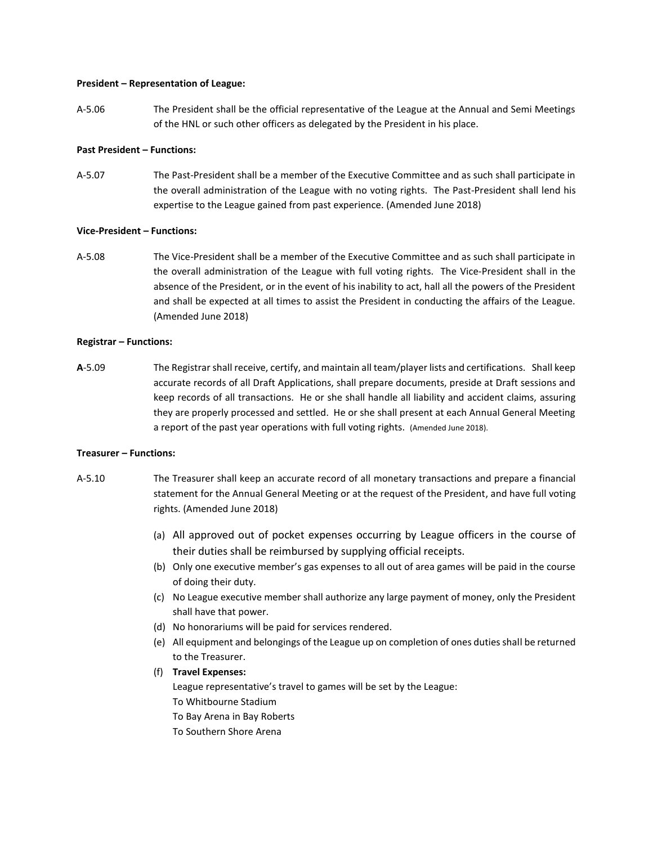#### **President – Representation of League:**

A-5.06 The President shall be the official representative of the League at the Annual and Semi Meetings of the HNL or such other officers as delegated by the President in his place.

#### **Past President – Functions:**

A-5.07 The Past-President shall be a member of the Executive Committee and as such shall participate in the overall administration of the League with no voting rights. The Past-President shall lend his expertise to the League gained from past experience. (Amended June 2018)

#### **Vice-President – Functions:**

A-5.08 The Vice-President shall be a member of the Executive Committee and as such shall participate in the overall administration of the League with full voting rights. The Vice-President shall in the absence of the President, or in the event of his inability to act, hall all the powers of the President and shall be expected at all times to assist the President in conducting the affairs of the League. (Amended June 2018)

#### **Registrar – Functions:**

**A**-5.09 The Registrar shall receive, certify, and maintain all team/player lists and certifications. Shall keep accurate records of all Draft Applications, shall prepare documents, preside at Draft sessions and keep records of all transactions. He or she shall handle all liability and accident claims, assuring they are properly processed and settled. He or she shall present at each Annual General Meeting a report of the past year operations with full voting rights. (Amended June 2018).

#### **Treasurer – Functions:**

- A-5.10 The Treasurer shall keep an accurate record of all monetary transactions and prepare a financial statement for the Annual General Meeting or at the request of the President, and have full voting rights. (Amended June 2018)
	- (a) All approved out of pocket expenses occurring by League officers in the course of their duties shall be reimbursed by supplying official receipts.
	- (b) Only one executive member's gas expenses to all out of area games will be paid in the course of doing their duty.
	- (c) No League executive member shall authorize any large payment of money, only the President shall have that power.
	- (d) No honorariums will be paid for services rendered.
	- (e) All equipment and belongings of the League up on completion of ones duties shall be returned to the Treasurer.
	- (f) **Travel Expenses:**

League representative's travel to games will be set by the League: To Whitbourne Stadium To Bay Arena in Bay Roberts To Southern Shore Arena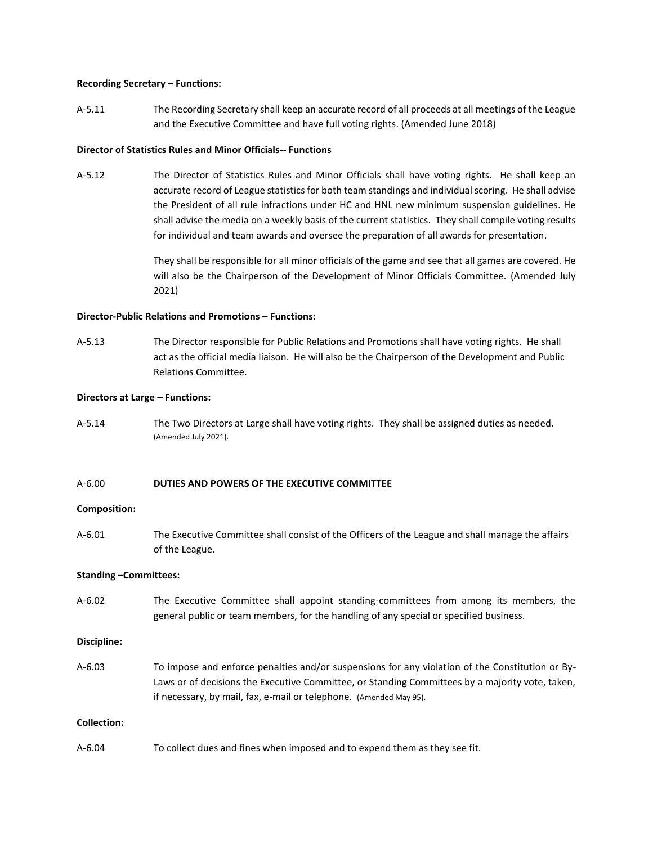#### **Recording Secretary – Functions:**

A-5.11 The Recording Secretary shall keep an accurate record of all proceeds at all meetings of the League and the Executive Committee and have full voting rights. (Amended June 2018)

#### **Director of Statistics Rules and Minor Officials-- Functions**

A-5.12 The Director of Statistics Rules and Minor Officials shall have voting rights. He shall keep an accurate record of League statistics for both team standings and individual scoring. He shall advise the President of all rule infractions under HC and HNL new minimum suspension guidelines. He shall advise the media on a weekly basis of the current statistics. They shall compile voting results for individual and team awards and oversee the preparation of all awards for presentation.

> They shall be responsible for all minor officials of the game and see that all games are covered. He will also be the Chairperson of the Development of Minor Officials Committee. (Amended July 2021)

#### **Director-Public Relations and Promotions – Functions:**

A-5.13 The Director responsible for Public Relations and Promotions shall have voting rights. He shall act as the official media liaison. He will also be the Chairperson of the Development and Public Relations Committee.

#### **Directors at Large – Functions:**

A-5.14 The Two Directors at Large shall have voting rights. They shall be assigned duties as needed. (Amended July 2021).

#### A-6.00 **DUTIES AND POWERS OF THE EXECUTIVE COMMITTEE**

#### **Composition:**

A-6.01 The Executive Committee shall consist of the Officers of the League and shall manage the affairs of the League.

#### **Standing –Committees:**

A-6.02 The Executive Committee shall appoint standing-committees from among its members, the general public or team members, for the handling of any special or specified business.

#### **Discipline:**

A-6.03 To impose and enforce penalties and/or suspensions for any violation of the Constitution or By-Laws or of decisions the Executive Committee, or Standing Committees by a majority vote, taken, if necessary, by mail, fax, e-mail or telephone. (Amended May 95).

#### **Collection:**

A-6.04 To collect dues and fines when imposed and to expend them as they see fit.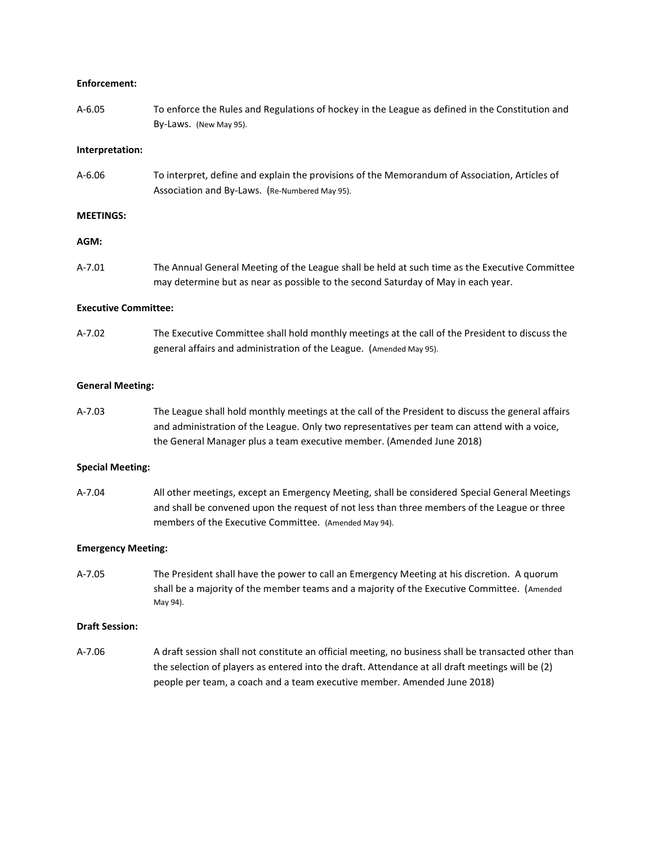#### **Enforcement:**

A-6.05 To enforce the Rules and Regulations of hockey in the League as defined in the Constitution and By-Laws. (New May 95).

#### **Interpretation:**

A-6.06 To interpret, define and explain the provisions of the Memorandum of Association, Articles of Association and By-Laws. (Re-Numbered May 95).

#### **MEETINGS:**

#### **AGM:**

A-7.01 The Annual General Meeting of the League shall be held at such time as the Executive Committee may determine but as near as possible to the second Saturday of May in each year.

#### **Executive Committee:**

A-7.02 The Executive Committee shall hold monthly meetings at the call of the President to discuss the general affairs and administration of the League. (Amended May 95).

#### **General Meeting:**

A-7.03 The League shall hold monthly meetings at the call of the President to discuss the general affairs and administration of the League. Only two representatives per team can attend with a voice, the General Manager plus a team executive member. (Amended June 2018)

#### **Special Meeting:**

A-7.04 All other meetings, except an Emergency Meeting, shall be considered Special General Meetings and shall be convened upon the request of not less than three members of the League or three members of the Executive Committee. (Amended May 94).

#### **Emergency Meeting:**

A-7.05 The President shall have the power to call an Emergency Meeting at his discretion. A quorum shall be a majority of the member teams and a majority of the Executive Committee. (Amended May 94).

#### **Draft Session:**

A-7.06 A draft session shall not constitute an official meeting, no business shall be transacted other than the selection of players as entered into the draft. Attendance at all draft meetings will be (2) people per team, a coach and a team executive member. Amended June 2018)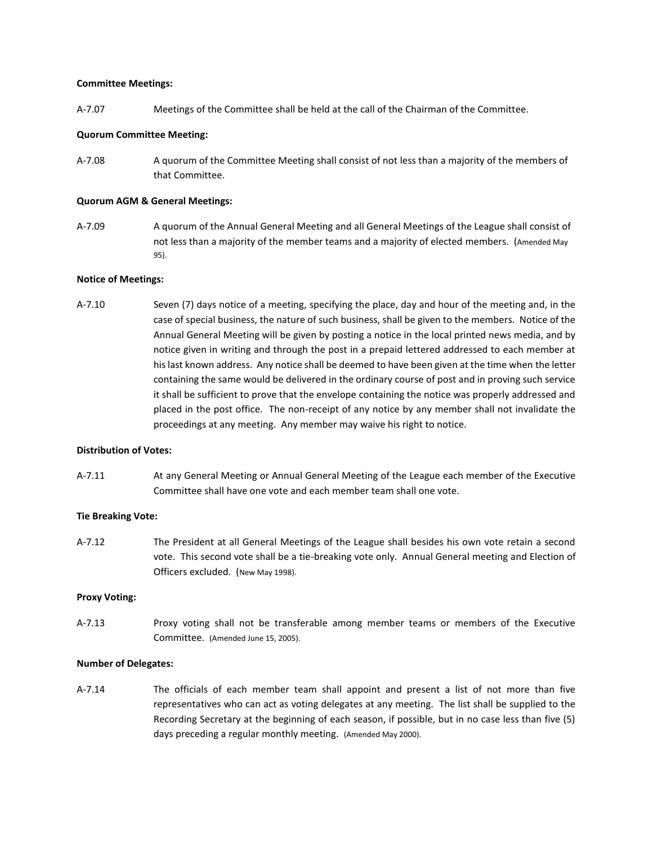#### **Committee Meetings:**

A-7.07 Meetings of the Committee shall be held at the call of the Chairman of the Committee.

#### **Quorum Committee Meeting:**

A-7.08 A quorum of the Committee Meeting shall consist of not less than a majority of the members of that Committee.

#### **Quorum AGM & General Meetings:**

A-7.09 A quorum of the Annual General Meeting and all General Meetings of the League shall consist of not less than a majority of the member teams and a majority of elected members. (Amended May 95).

#### **Notice of Meetings:**

A-7.10 Seven (7) days notice of a meeting, specifying the place, day and hour of the meeting and, in the case of special business, the nature of such business, shall be given to the members. Notice of the Annual General Meeting will be given by posting a notice in the local printed news media, and by notice given in writing and through the post in a prepaid lettered addressed to each member at his last known address. Any notice shall be deemed to have been given at the time when the letter containing the same would be delivered in the ordinary course of post and in proving such service it shall be sufficient to prove that the envelope containing the notice was properly addressed and placed in the post office. The non-receipt of any notice by any member shall not invalidate the proceedings at any meeting. Any member may waive his right to notice.

#### **Distribution of Votes:**

A-7.11 At any General Meeting or Annual General Meeting of the League each member of the Executive Committee shall have one vote and each member team shall one vote.

#### **Tie Breaking Vote:**

A-7.12 The President at all General Meetings of the League shall besides his own vote retain a second vote. This second vote shall be a tie-breaking vote only. Annual General meeting and Election of Officers excluded. (New May 1998).

#### **Proxy Voting:**

A-7.13 Proxy voting shall not be transferable among member teams or members of the Executive Committee. (Amended June 15, 2005).

#### **Number of Delegates:**

A-7.14 The officials of each member team shall appoint and present a list of not more than five representatives who can act as voting delegates at any meeting. The list shall be supplied to the Recording Secretary at the beginning of each season, if possible, but in no case less than five (5) days preceding a regular monthly meeting. (Amended May 2000).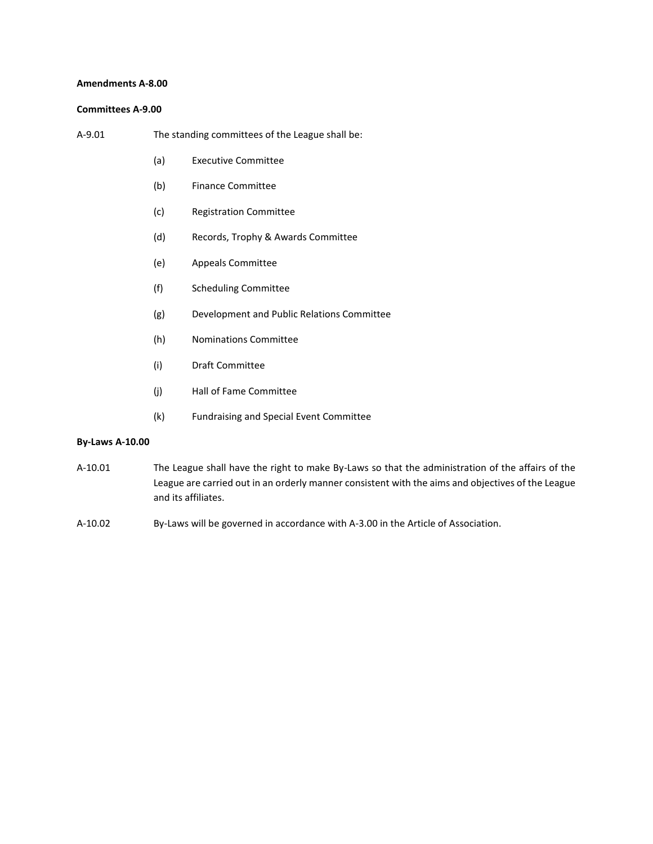#### **Amendments A-8.00**

#### **Committees A-9.00**

| A-9.01 | The standing committees of the League shall be: |  |
|--------|-------------------------------------------------|--|
|        |                                                 |  |

- (a) Executive Committee
- (b) Finance Committee
- (c) Registration Committee
- (d) Records, Trophy & Awards Committee
- (e) Appeals Committee
- (f) Scheduling Committee
- (g) Development and Public Relations Committee
- (h) Nominations Committee
- (i) Draft Committee
- (j) Hall of Fame Committee
- (k) Fundraising and Special Event Committee

#### **By-Laws A-10.00**

- A-10.01 The League shall have the right to make By-Laws so that the administration of the affairs of the League are carried out in an orderly manner consistent with the aims and objectives of the League and its affiliates.
- A-10.02 By-Laws will be governed in accordance with A-3.00 in the Article of Association.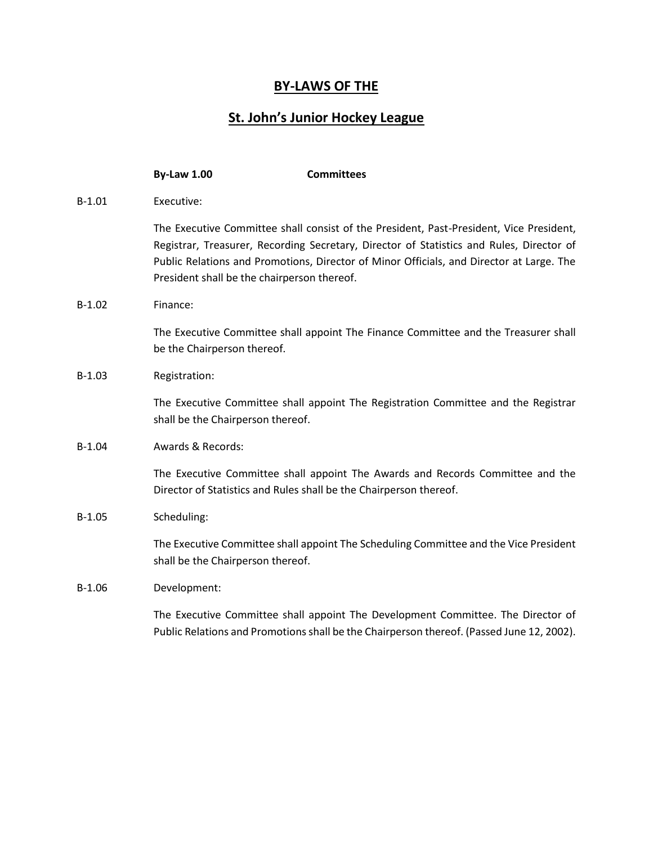# **BY-LAWS OF THE**

# **St. John's Junior Hockey League**

|          | <b>By-Law 1.00</b>                          | <b>Committees</b>                                                                                                                                                                                                                                                               |
|----------|---------------------------------------------|---------------------------------------------------------------------------------------------------------------------------------------------------------------------------------------------------------------------------------------------------------------------------------|
| $B-1.01$ | Executive:                                  |                                                                                                                                                                                                                                                                                 |
|          | President shall be the chairperson thereof. | The Executive Committee shall consist of the President, Past-President, Vice President,<br>Registrar, Treasurer, Recording Secretary, Director of Statistics and Rules, Director of<br>Public Relations and Promotions, Director of Minor Officials, and Director at Large. The |
| $B-1.02$ | Finance:                                    |                                                                                                                                                                                                                                                                                 |
|          | be the Chairperson thereof.                 | The Executive Committee shall appoint The Finance Committee and the Treasurer shall                                                                                                                                                                                             |
| $B-1.03$ | Registration:                               |                                                                                                                                                                                                                                                                                 |
|          | shall be the Chairperson thereof.           | The Executive Committee shall appoint The Registration Committee and the Registrar                                                                                                                                                                                              |
| $B-1.04$ | Awards & Records:                           |                                                                                                                                                                                                                                                                                 |
|          |                                             | The Executive Committee shall appoint The Awards and Records Committee and the<br>Director of Statistics and Rules shall be the Chairperson thereof.                                                                                                                            |
| $B-1.05$ | Scheduling:                                 |                                                                                                                                                                                                                                                                                 |
|          | shall be the Chairperson thereof.           | The Executive Committee shall appoint The Scheduling Committee and the Vice President                                                                                                                                                                                           |
| $B-1.06$ | Development:                                |                                                                                                                                                                                                                                                                                 |
|          |                                             | The Executive Committee shall appoint The Development Committee. The Director of<br>Public Relations and Promotions shall be the Chairperson thereof. (Passed June 12, 2002).                                                                                                   |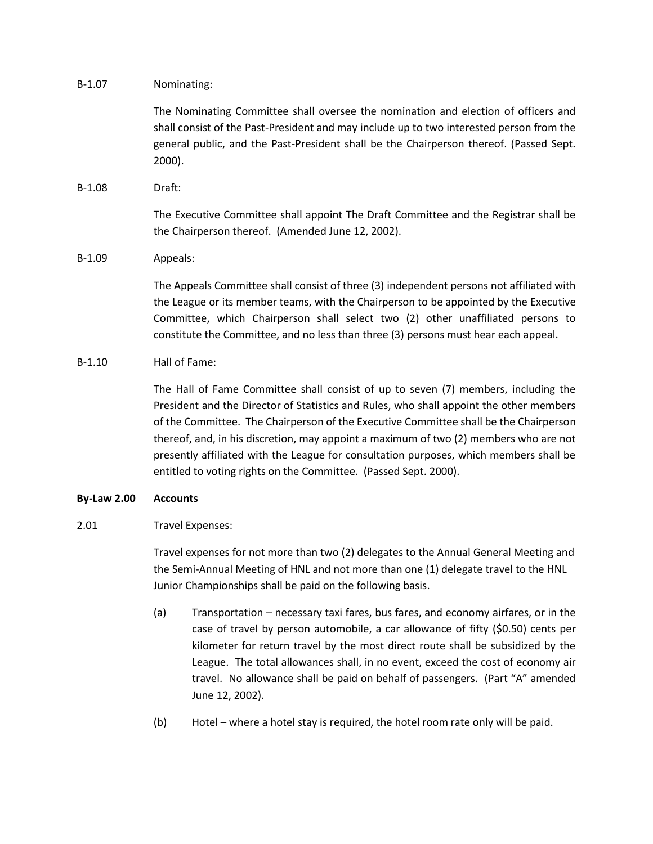B-1.07 Nominating:

The Nominating Committee shall oversee the nomination and election of officers and shall consist of the Past-President and may include up to two interested person from the general public, and the Past-President shall be the Chairperson thereof. (Passed Sept. 2000).

B-1.08 Draft:

The Executive Committee shall appoint The Draft Committee and the Registrar shall be the Chairperson thereof. (Amended June 12, 2002).

# B-1.09 Appeals:

The Appeals Committee shall consist of three (3) independent persons not affiliated with the League or its member teams, with the Chairperson to be appointed by the Executive Committee, which Chairperson shall select two (2) other unaffiliated persons to constitute the Committee, and no less than three (3) persons must hear each appeal.

# B-1.10 Hall of Fame:

The Hall of Fame Committee shall consist of up to seven (7) members, including the President and the Director of Statistics and Rules, who shall appoint the other members of the Committee. The Chairperson of the Executive Committee shall be the Chairperson thereof, and, in his discretion, may appoint a maximum of two (2) members who are not presently affiliated with the League for consultation purposes, which members shall be entitled to voting rights on the Committee. (Passed Sept. 2000).

# **By-Law 2.00 Accounts**

# 2.01 Travel Expenses:

Travel expenses for not more than two (2) delegates to the Annual General Meeting and the Semi-Annual Meeting of HNL and not more than one (1) delegate travel to the HNL Junior Championships shall be paid on the following basis.

- (a) Transportation necessary taxi fares, bus fares, and economy airfares, or in the case of travel by person automobile, a car allowance of fifty (\$0.50) cents per kilometer for return travel by the most direct route shall be subsidized by the League. The total allowances shall, in no event, exceed the cost of economy air travel. No allowance shall be paid on behalf of passengers. (Part "A" amended June 12, 2002).
- (b) Hotel where a hotel stay is required, the hotel room rate only will be paid.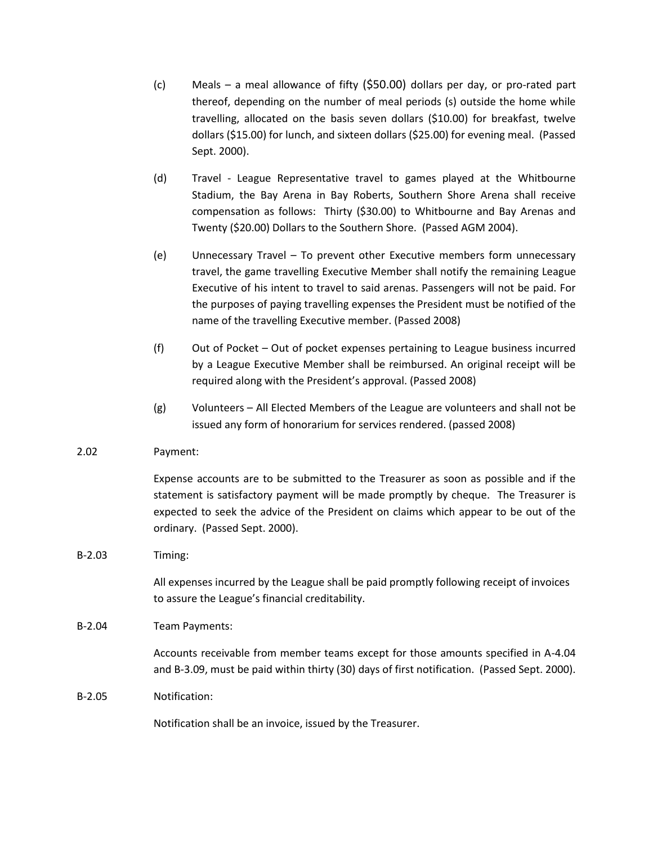- (c) Meals a meal allowance of fifty (\$50.00) dollars per day, or pro-rated part thereof, depending on the number of meal periods (s) outside the home while travelling, allocated on the basis seven dollars (\$10.00) for breakfast, twelve dollars (\$15.00) for lunch, and sixteen dollars (\$25.00) for evening meal. (Passed Sept. 2000).
- (d) Travel League Representative travel to games played at the Whitbourne Stadium, the Bay Arena in Bay Roberts, Southern Shore Arena shall receive compensation as follows: Thirty (\$30.00) to Whitbourne and Bay Arenas and Twenty (\$20.00) Dollars to the Southern Shore. (Passed AGM 2004).
- (e) Unnecessary Travel To prevent other Executive members form unnecessary travel, the game travelling Executive Member shall notify the remaining League Executive of his intent to travel to said arenas. Passengers will not be paid. For the purposes of paying travelling expenses the President must be notified of the name of the travelling Executive member. (Passed 2008)
- (f) Out of Pocket Out of pocket expenses pertaining to League business incurred by a League Executive Member shall be reimbursed. An original receipt will be required along with the President's approval. (Passed 2008)
- (g) Volunteers All Elected Members of the League are volunteers and shall not be issued any form of honorarium for services rendered. (passed 2008)

# 2.02 Payment:

Expense accounts are to be submitted to the Treasurer as soon as possible and if the statement is satisfactory payment will be made promptly by cheque. The Treasurer is expected to seek the advice of the President on claims which appear to be out of the ordinary. (Passed Sept. 2000).

# B-2.03 Timing:

All expenses incurred by the League shall be paid promptly following receipt of invoices to assure the League's financial creditability.

## B-2.04 Team Payments:

Accounts receivable from member teams except for those amounts specified in A-4.04 and B-3.09, must be paid within thirty (30) days of first notification. (Passed Sept. 2000).

## B-2.05 Notification:

Notification shall be an invoice, issued by the Treasurer.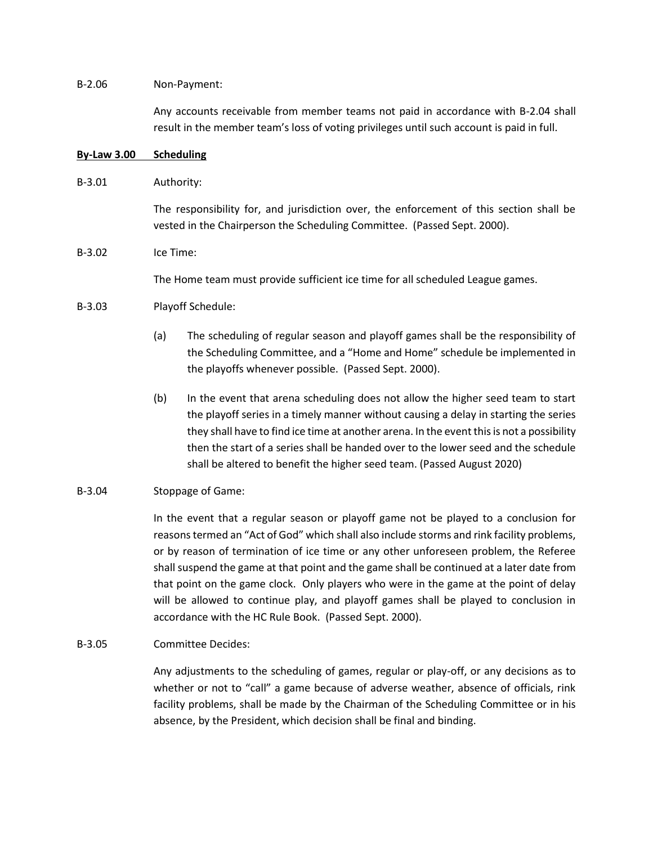## B-2.06 Non-Payment:

Any accounts receivable from member teams not paid in accordance with B-2.04 shall result in the member team's loss of voting privileges until such account is paid in full.

#### **By-Law 3.00 Scheduling**

## B-3.01 Authority:

The responsibility for, and jurisdiction over, the enforcement of this section shall be vested in the Chairperson the Scheduling Committee. (Passed Sept. 2000).

## B-3.02 Ice Time:

The Home team must provide sufficient ice time for all scheduled League games.

## B-3.03 Playoff Schedule:

- (a) The scheduling of regular season and playoff games shall be the responsibility of the Scheduling Committee, and a "Home and Home" schedule be implemented in the playoffs whenever possible. (Passed Sept. 2000).
- (b) In the event that arena scheduling does not allow the higher seed team to start the playoff series in a timely manner without causing a delay in starting the series they shall have to find ice time at another arena. In the event this is not a possibility then the start of a series shall be handed over to the lower seed and the schedule shall be altered to benefit the higher seed team. (Passed August 2020)

# B-3.04 Stoppage of Game:

In the event that a regular season or playoff game not be played to a conclusion for reasons termed an "Act of God" which shall also include storms and rink facility problems, or by reason of termination of ice time or any other unforeseen problem, the Referee shall suspend the game at that point and the game shall be continued at a later date from that point on the game clock. Only players who were in the game at the point of delay will be allowed to continue play, and playoff games shall be played to conclusion in accordance with the HC Rule Book. (Passed Sept. 2000).

## B-3.05 Committee Decides:

Any adjustments to the scheduling of games, regular or play-off, or any decisions as to whether or not to "call" a game because of adverse weather, absence of officials, rink facility problems, shall be made by the Chairman of the Scheduling Committee or in his absence, by the President, which decision shall be final and binding.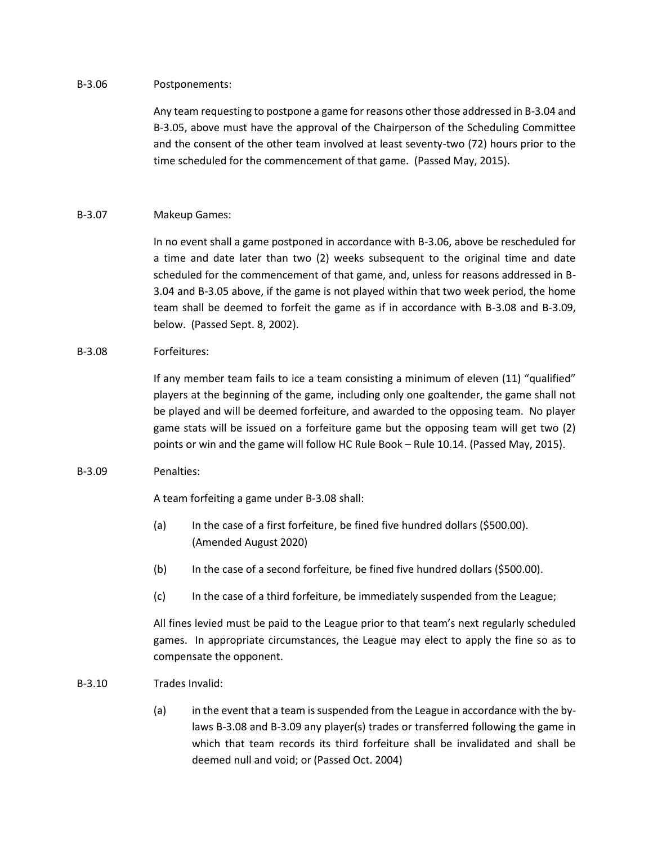## B-3.06 Postponements:

Any team requesting to postpone a game for reasons other those addressed in B-3.04 and B-3.05, above must have the approval of the Chairperson of the Scheduling Committee and the consent of the other team involved at least seventy-two (72) hours prior to the time scheduled for the commencement of that game. (Passed May, 2015).

# B-3.07 Makeup Games:

In no event shall a game postponed in accordance with B-3.06, above be rescheduled for a time and date later than two (2) weeks subsequent to the original time and date scheduled for the commencement of that game, and, unless for reasons addressed in B-3.04 and B-3.05 above, if the game is not played within that two week period, the home team shall be deemed to forfeit the game as if in accordance with B-3.08 and B-3.09, below. (Passed Sept. 8, 2002).

# B-3.08 Forfeitures:

If any member team fails to ice a team consisting a minimum of eleven (11) "qualified" players at the beginning of the game, including only one goaltender, the game shall not be played and will be deemed forfeiture, and awarded to the opposing team. No player game stats will be issued on a forfeiture game but the opposing team will get two (2) points or win and the game will follow HC Rule Book – Rule 10.14. (Passed May, 2015).

## B-3.09 Penalties:

A team forfeiting a game under B-3.08 shall:

- (a) In the case of a first forfeiture, be fined five hundred dollars (\$500.00). (Amended August 2020)
- (b) In the case of a second forfeiture, be fined five hundred dollars (\$500.00).
- (c) In the case of a third forfeiture, be immediately suspended from the League;

All fines levied must be paid to the League prior to that team's next regularly scheduled games. In appropriate circumstances, the League may elect to apply the fine so as to compensate the opponent.

# B-3.10 Trades Invalid:

(a) in the event that a team is suspended from the League in accordance with the bylaws B-3.08 and B-3.09 any player(s) trades or transferred following the game in which that team records its third forfeiture shall be invalidated and shall be deemed null and void; or (Passed Oct. 2004)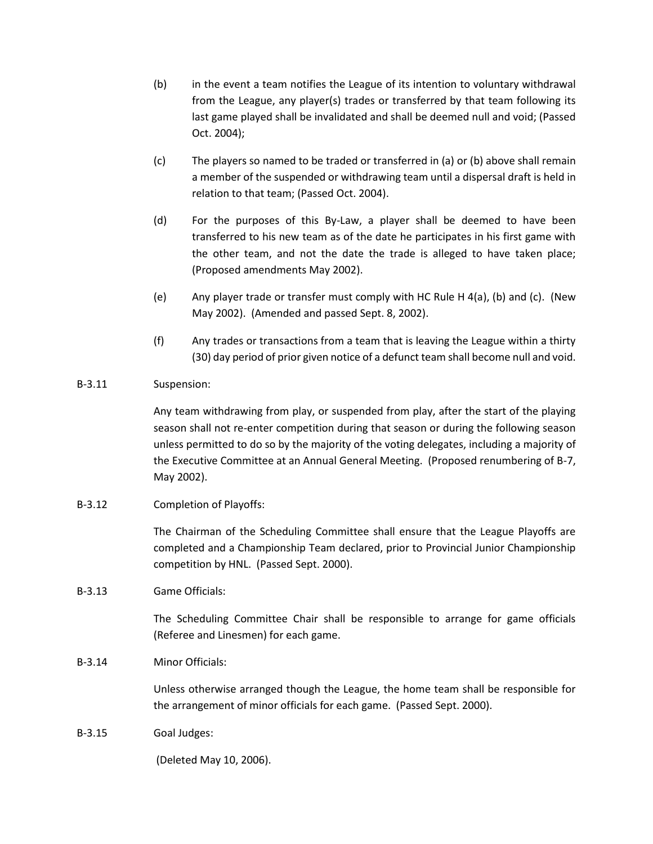- (b) in the event a team notifies the League of its intention to voluntary withdrawal from the League, any player(s) trades or transferred by that team following its last game played shall be invalidated and shall be deemed null and void; (Passed Oct. 2004);
- (c) The players so named to be traded or transferred in (a) or (b) above shall remain a member of the suspended or withdrawing team until a dispersal draft is held in relation to that team; (Passed Oct. 2004).
- (d) For the purposes of this By-Law, a player shall be deemed to have been transferred to his new team as of the date he participates in his first game with the other team, and not the date the trade is alleged to have taken place; (Proposed amendments May 2002).
- (e) Any player trade or transfer must comply with HC Rule H 4(a), (b) and (c). (New May 2002). (Amended and passed Sept. 8, 2002).
- (f) Any trades or transactions from a team that is leaving the League within a thirty (30) day period of prior given notice of a defunct team shall become null and void.

# B-3.11 Suspension:

Any team withdrawing from play, or suspended from play, after the start of the playing season shall not re-enter competition during that season or during the following season unless permitted to do so by the majority of the voting delegates, including a majority of the Executive Committee at an Annual General Meeting. (Proposed renumbering of B-7, May 2002).

# B-3.12 Completion of Playoffs:

The Chairman of the Scheduling Committee shall ensure that the League Playoffs are completed and a Championship Team declared, prior to Provincial Junior Championship competition by HNL. (Passed Sept. 2000).

# B-3.13 Game Officials:

The Scheduling Committee Chair shall be responsible to arrange for game officials (Referee and Linesmen) for each game.

# B-3.14 Minor Officials:

Unless otherwise arranged though the League, the home team shall be responsible for the arrangement of minor officials for each game. (Passed Sept. 2000).

B-3.15 Goal Judges:

(Deleted May 10, 2006).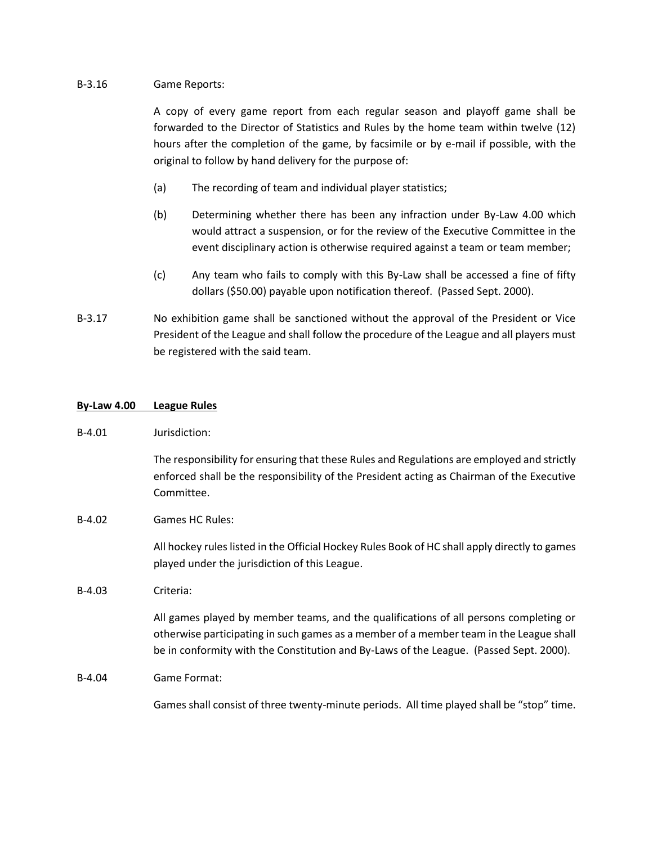## B-3.16 Game Reports:

A copy of every game report from each regular season and playoff game shall be forwarded to the Director of Statistics and Rules by the home team within twelve (12) hours after the completion of the game, by facsimile or by e-mail if possible, with the original to follow by hand delivery for the purpose of:

- (a) The recording of team and individual player statistics;
- (b) Determining whether there has been any infraction under By-Law 4.00 which would attract a suspension, or for the review of the Executive Committee in the event disciplinary action is otherwise required against a team or team member;
- (c) Any team who fails to comply with this By-Law shall be accessed a fine of fifty dollars (\$50.00) payable upon notification thereof. (Passed Sept. 2000).
- B-3.17 No exhibition game shall be sanctioned without the approval of the President or Vice President of the League and shall follow the procedure of the League and all players must be registered with the said team.

## **By-Law 4.00 League Rules**

B-4.01 Jurisdiction:

The responsibility for ensuring that these Rules and Regulations are employed and strictly enforced shall be the responsibility of the President acting as Chairman of the Executive Committee.

B-4.02 Games HC Rules:

All hockey rules listed in the Official Hockey Rules Book of HC shall apply directly to games played under the jurisdiction of this League.

B-4.03 Criteria:

All games played by member teams, and the qualifications of all persons completing or otherwise participating in such games as a member of a member team in the League shall be in conformity with the Constitution and By-Laws of the League. (Passed Sept. 2000).

B-4.04 Game Format:

Games shall consist of three twenty-minute periods. All time played shall be "stop" time.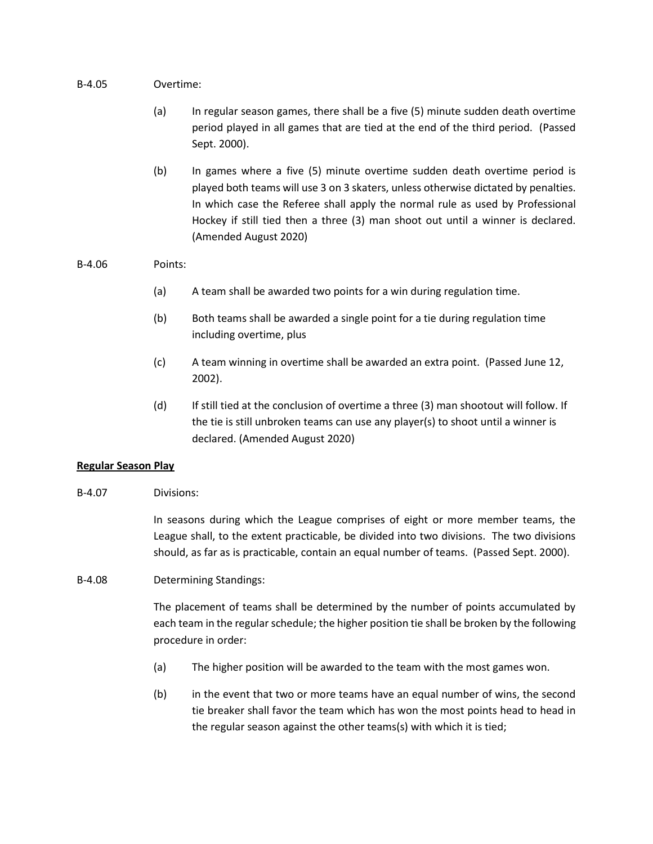## B-4.05 Overtime:

- (a) In regular season games, there shall be a five (5) minute sudden death overtime period played in all games that are tied at the end of the third period. (Passed Sept. 2000).
- (b) In games where a five (5) minute overtime sudden death overtime period is played both teams will use 3 on 3 skaters, unless otherwise dictated by penalties. In which case the Referee shall apply the normal rule as used by Professional Hockey if still tied then a three (3) man shoot out until a winner is declared. (Amended August 2020)

# B-4.06 Points:

- (a) A team shall be awarded two points for a win during regulation time.
- (b) Both teams shall be awarded a single point for a tie during regulation time including overtime, plus
- (c) A team winning in overtime shall be awarded an extra point. (Passed June 12, 2002).
- (d) If still tied at the conclusion of overtime a three (3) man shootout will follow. If the tie is still unbroken teams can use any player(s) to shoot until a winner is declared. (Amended August 2020)

# **Regular Season Play**

B-4.07 Divisions:

In seasons during which the League comprises of eight or more member teams, the League shall, to the extent practicable, be divided into two divisions. The two divisions should, as far as is practicable, contain an equal number of teams. (Passed Sept. 2000).

B-4.08 Determining Standings:

The placement of teams shall be determined by the number of points accumulated by each team in the regular schedule; the higher position tie shall be broken by the following procedure in order:

- (a) The higher position will be awarded to the team with the most games won.
- (b) in the event that two or more teams have an equal number of wins, the second tie breaker shall favor the team which has won the most points head to head in the regular season against the other teams(s) with which it is tied;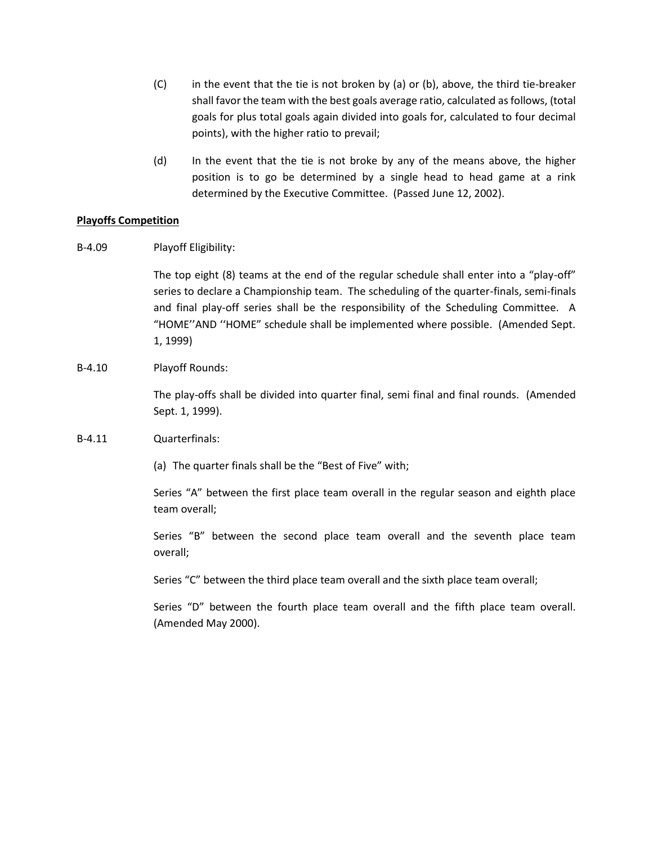- $(C)$  in the event that the tie is not broken by (a) or (b), above, the third tie-breaker shall favor the team with the best goals average ratio, calculated as follows, (total goals for plus total goals again divided into goals for, calculated to four decimal points), with the higher ratio to prevail;
- (d) In the event that the tie is not broke by any of the means above, the higher position is to go be determined by a single head to head game at a rink determined by the Executive Committee. (Passed June 12, 2002).

# **Playoffs Competition**

B-4.09 Playoff Eligibility:

The top eight (8) teams at the end of the regular schedule shall enter into a "play-off" series to declare a Championship team. The scheduling of the quarter-finals, semi-finals and final play-off series shall be the responsibility of the Scheduling Committee. A "HOME''AND ''HOME" schedule shall be implemented where possible. (Amended Sept. 1, 1999)

B-4.10 Playoff Rounds:

The play-offs shall be divided into quarter final, semi final and final rounds. (Amended Sept. 1, 1999).

## B-4.11 Quarterfinals:

(a) The quarter finals shall be the "Best of Five" with;

Series "A" between the first place team overall in the regular season and eighth place team overall;

Series "B" between the second place team overall and the seventh place team overall;

Series "C" between the third place team overall and the sixth place team overall;

Series "D" between the fourth place team overall and the fifth place team overall. (Amended May 2000).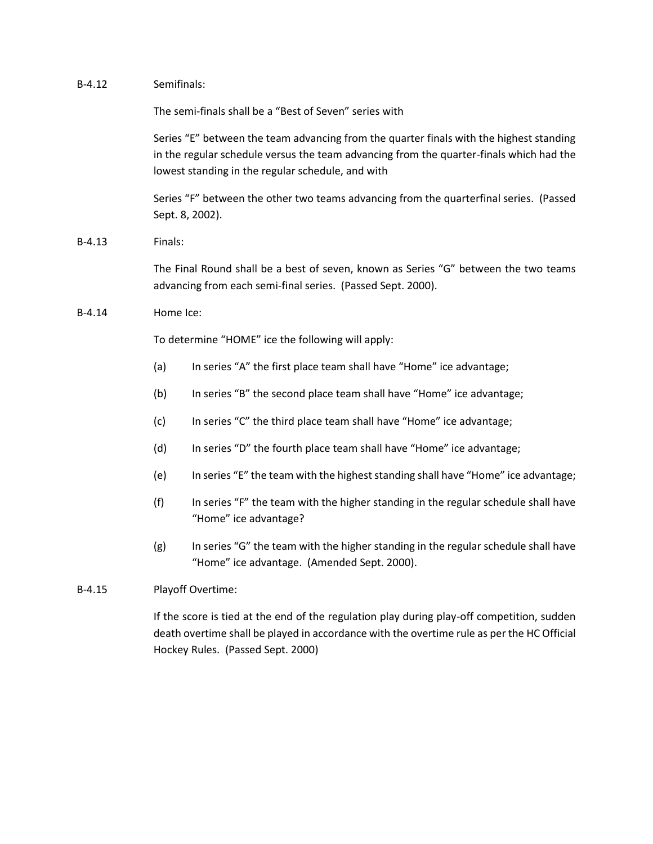| $B-4.12$ | Semifinals:                                                                                                                                                                                                                             |                                                                                                                                   |  |
|----------|-----------------------------------------------------------------------------------------------------------------------------------------------------------------------------------------------------------------------------------------|-----------------------------------------------------------------------------------------------------------------------------------|--|
|          | The semi-finals shall be a "Best of Seven" series with                                                                                                                                                                                  |                                                                                                                                   |  |
|          | Series "E" between the team advancing from the quarter finals with the highest standing<br>in the regular schedule versus the team advancing from the quarter-finals which had the<br>lowest standing in the regular schedule, and with |                                                                                                                                   |  |
|          | Series "F" between the other two teams advancing from the quarterfinal series. (Passed<br>Sept. 8, 2002).                                                                                                                               |                                                                                                                                   |  |
| $B-4.13$ | Finals:                                                                                                                                                                                                                                 |                                                                                                                                   |  |
|          | The Final Round shall be a best of seven, known as Series "G" between the two teams<br>advancing from each semi-final series. (Passed Sept. 2000).                                                                                      |                                                                                                                                   |  |
| $B-4.14$ | Home Ice:                                                                                                                                                                                                                               |                                                                                                                                   |  |
|          |                                                                                                                                                                                                                                         | To determine "HOME" ice the following will apply:                                                                                 |  |
|          | (a)                                                                                                                                                                                                                                     | In series "A" the first place team shall have "Home" ice advantage;                                                               |  |
|          | (b)                                                                                                                                                                                                                                     | In series "B" the second place team shall have "Home" ice advantage;                                                              |  |
|          | (c)                                                                                                                                                                                                                                     | In series "C" the third place team shall have "Home" ice advantage;                                                               |  |
|          | (d)                                                                                                                                                                                                                                     | In series "D" the fourth place team shall have "Home" ice advantage;                                                              |  |
|          | (e)                                                                                                                                                                                                                                     | In series "E" the team with the highest standing shall have "Home" ice advantage;                                                 |  |
|          | (f)                                                                                                                                                                                                                                     | In series "F" the team with the higher standing in the regular schedule shall have<br>"Home" ice advantage?                       |  |
|          | (g)                                                                                                                                                                                                                                     | In series "G" the team with the higher standing in the regular schedule shall have<br>"Home" ice advantage. (Amended Sept. 2000). |  |
| $B-4.15$ | Playoff Overtime:                                                                                                                                                                                                                       |                                                                                                                                   |  |

If the score is tied at the end of the regulation play during play-off competition, sudden death overtime shall be played in accordance with the overtime rule as per the HC Official Hockey Rules. (Passed Sept. 2000)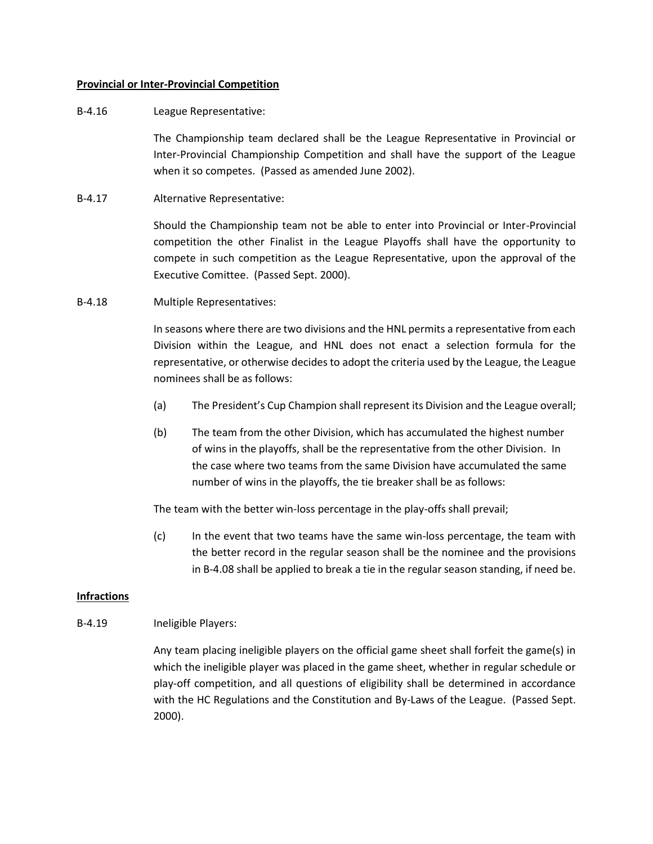## **Provincial or Inter-Provincial Competition**

# B-4.16 League Representative:

The Championship team declared shall be the League Representative in Provincial or Inter-Provincial Championship Competition and shall have the support of the League when it so competes. (Passed as amended June 2002).

B-4.17 Alternative Representative:

Should the Championship team not be able to enter into Provincial or Inter-Provincial competition the other Finalist in the League Playoffs shall have the opportunity to compete in such competition as the League Representative, upon the approval of the Executive Comittee. (Passed Sept. 2000).

B-4.18 Multiple Representatives:

In seasons where there are two divisions and the HNL permits a representative from each Division within the League, and HNL does not enact a selection formula for the representative, or otherwise decides to adopt the criteria used by the League, the League nominees shall be as follows:

- (a) The President's Cup Champion shall represent its Division and the League overall;
- (b) The team from the other Division, which has accumulated the highest number of wins in the playoffs, shall be the representative from the other Division. In the case where two teams from the same Division have accumulated the same number of wins in the playoffs, the tie breaker shall be as follows:

The team with the better win-loss percentage in the play-offs shall prevail;

(c) In the event that two teams have the same win-loss percentage, the team with the better record in the regular season shall be the nominee and the provisions in B-4.08 shall be applied to break a tie in the regular season standing, if need be.

# **Infractions**

B-4.19 Ineligible Players:

Any team placing ineligible players on the official game sheet shall forfeit the game(s) in which the ineligible player was placed in the game sheet, whether in regular schedule or play-off competition, and all questions of eligibility shall be determined in accordance with the HC Regulations and the Constitution and By-Laws of the League. (Passed Sept. 2000).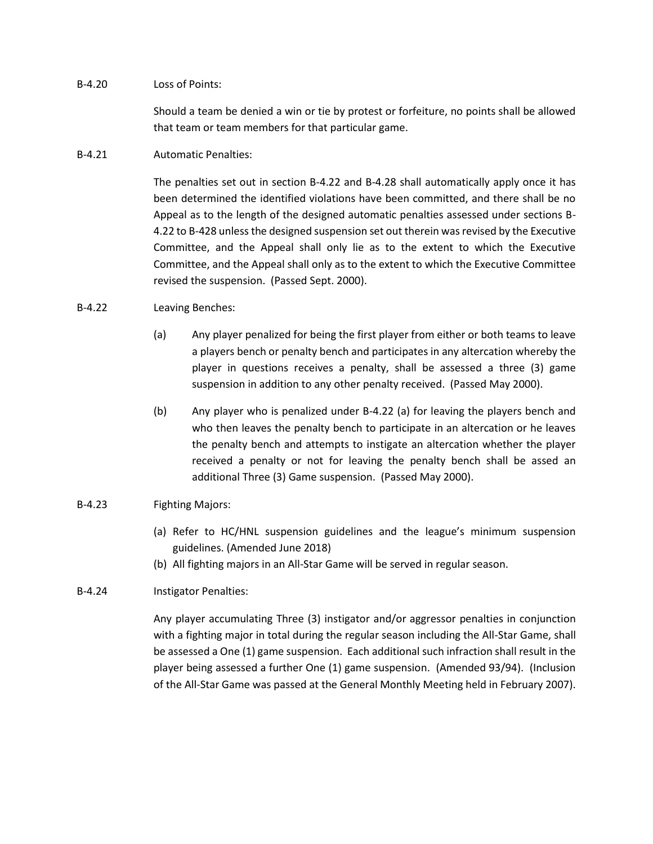## B-4.20 Loss of Points:

Should a team be denied a win or tie by protest or forfeiture, no points shall be allowed that team or team members for that particular game.

# B-4.21 Automatic Penalties:

The penalties set out in section B-4.22 and B-4.28 shall automatically apply once it has been determined the identified violations have been committed, and there shall be no Appeal as to the length of the designed automatic penalties assessed under sections B-4.22 to B-428 unless the designed suspension set out therein was revised by the Executive Committee, and the Appeal shall only lie as to the extent to which the Executive Committee, and the Appeal shall only as to the extent to which the Executive Committee revised the suspension. (Passed Sept. 2000).

## B-4.22 Leaving Benches:

- (a) Any player penalized for being the first player from either or both teams to leave a players bench or penalty bench and participates in any altercation whereby the player in questions receives a penalty, shall be assessed a three (3) game suspension in addition to any other penalty received. (Passed May 2000).
- (b) Any player who is penalized under B-4.22 (a) for leaving the players bench and who then leaves the penalty bench to participate in an altercation or he leaves the penalty bench and attempts to instigate an altercation whether the player received a penalty or not for leaving the penalty bench shall be assed an additional Three (3) Game suspension. (Passed May 2000).

# B-4.23 Fighting Majors:

- (a) Refer to HC/HNL suspension guidelines and the league's minimum suspension guidelines. (Amended June 2018)
- (b) All fighting majors in an All-Star Game will be served in regular season.

# B-4.24 Instigator Penalties:

Any player accumulating Three (3) instigator and/or aggressor penalties in conjunction with a fighting major in total during the regular season including the All-Star Game, shall be assessed a One (1) game suspension. Each additional such infraction shall result in the player being assessed a further One (1) game suspension. (Amended 93/94). (Inclusion of the All-Star Game was passed at the General Monthly Meeting held in February 2007).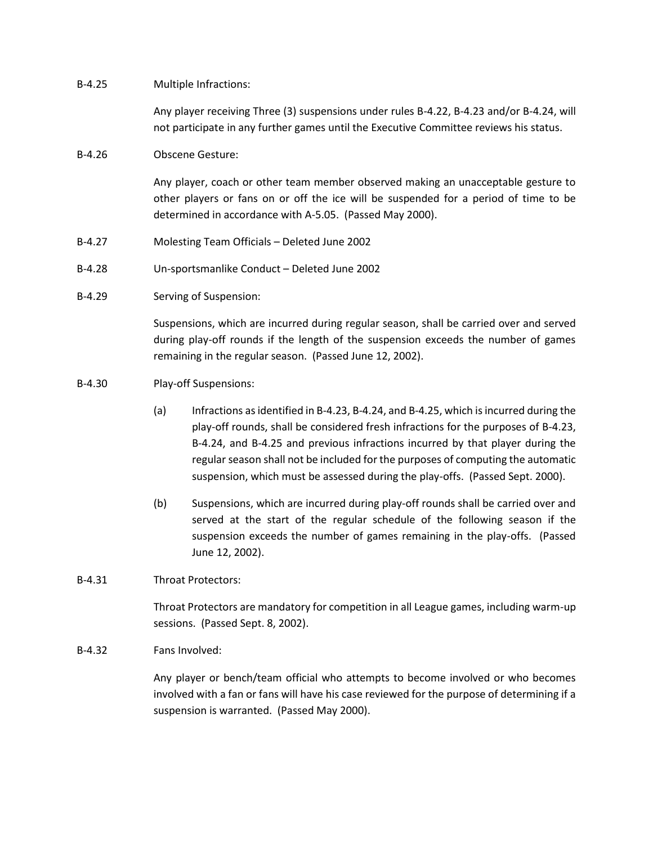## B-4.25 Multiple Infractions:

Any player receiving Three (3) suspensions under rules B-4.22, B-4.23 and/or B-4.24, will not participate in any further games until the Executive Committee reviews his status.

## B-4.26 Obscene Gesture:

Any player, coach or other team member observed making an unacceptable gesture to other players or fans on or off the ice will be suspended for a period of time to be determined in accordance with A-5.05. (Passed May 2000).

- B-4.27 Molesting Team Officials Deleted June 2002
- B-4.28 Un-sportsmanlike Conduct Deleted June 2002
- B-4.29 Serving of Suspension:

Suspensions, which are incurred during regular season, shall be carried over and served during play-off rounds if the length of the suspension exceeds the number of games remaining in the regular season. (Passed June 12, 2002).

- B-4.30 Play-off Suspensions:
	- (a) Infractions as identified in B-4.23, B-4.24, and B-4.25, which is incurred during the play-off rounds, shall be considered fresh infractions for the purposes of B-4.23, B-4.24, and B-4.25 and previous infractions incurred by that player during the regular season shall not be included for the purposes of computing the automatic suspension, which must be assessed during the play-offs. (Passed Sept. 2000).
	- (b) Suspensions, which are incurred during play-off rounds shall be carried over and served at the start of the regular schedule of the following season if the suspension exceeds the number of games remaining in the play-offs. (Passed June 12, 2002).

## B-4.31 Throat Protectors:

Throat Protectors are mandatory for competition in all League games, including warm-up sessions. (Passed Sept. 8, 2002).

B-4.32 Fans Involved:

Any player or bench/team official who attempts to become involved or who becomes involved with a fan or fans will have his case reviewed for the purpose of determining if a suspension is warranted. (Passed May 2000).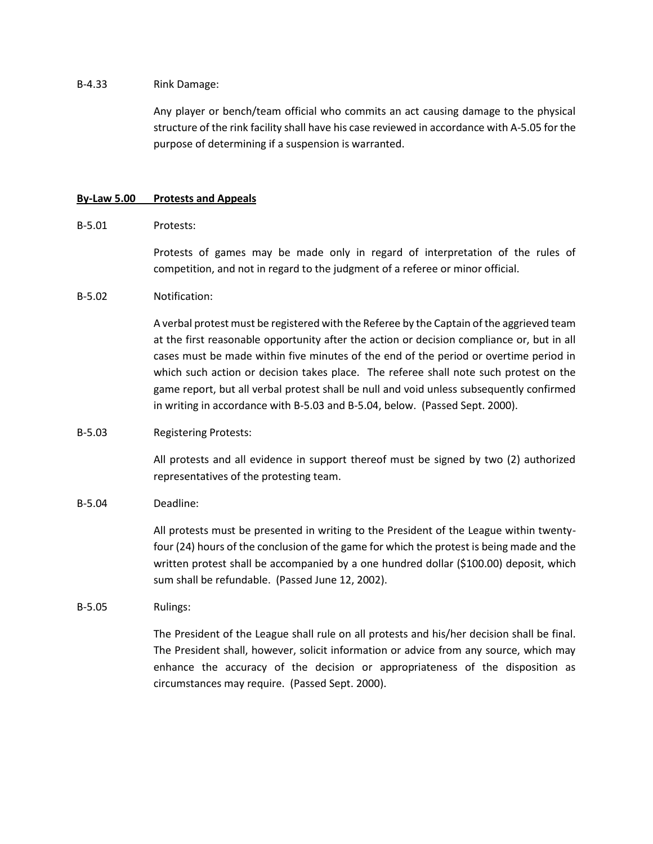## B-4.33 Rink Damage:

Any player or bench/team official who commits an act causing damage to the physical structure of the rink facility shall have his case reviewed in accordance with A-5.05 for the purpose of determining if a suspension is warranted.

## **By-Law 5.00 Protests and Appeals**

## B-5.01 Protests:

Protests of games may be made only in regard of interpretation of the rules of competition, and not in regard to the judgment of a referee or minor official.

## B-5.02 Notification:

A verbal protest must be registered with the Referee by the Captain of the aggrieved team at the first reasonable opportunity after the action or decision compliance or, but in all cases must be made within five minutes of the end of the period or overtime period in which such action or decision takes place. The referee shall note such protest on the game report, but all verbal protest shall be null and void unless subsequently confirmed in writing in accordance with B-5.03 and B-5.04, below. (Passed Sept. 2000).

## B-5.03 Registering Protests:

All protests and all evidence in support thereof must be signed by two (2) authorized representatives of the protesting team.

## B-5.04 Deadline:

All protests must be presented in writing to the President of the League within twentyfour (24) hours of the conclusion of the game for which the protest is being made and the written protest shall be accompanied by a one hundred dollar (\$100.00) deposit, which sum shall be refundable. (Passed June 12, 2002).

## B-5.05 Rulings:

The President of the League shall rule on all protests and his/her decision shall be final. The President shall, however, solicit information or advice from any source, which may enhance the accuracy of the decision or appropriateness of the disposition as circumstances may require. (Passed Sept. 2000).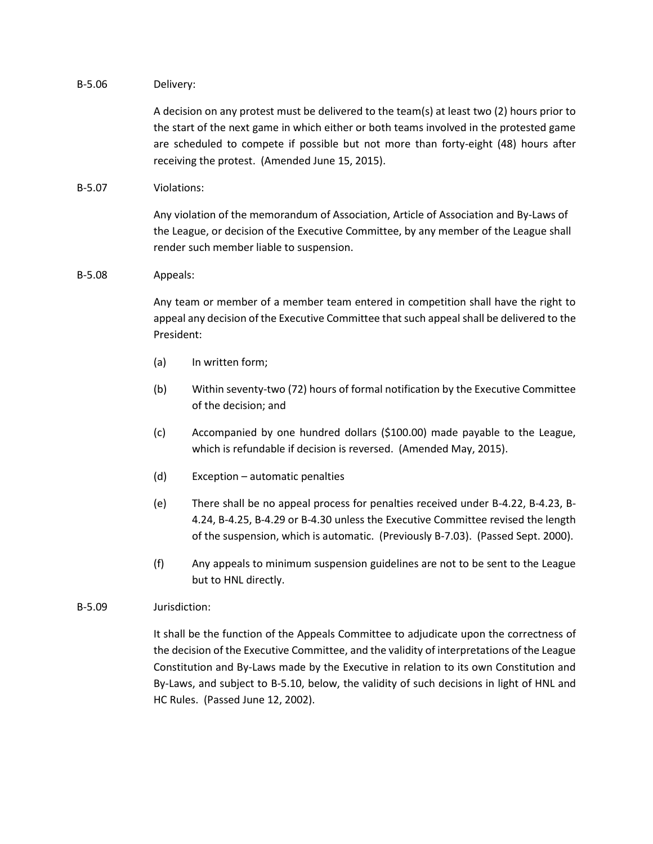## B-5.06 Delivery:

A decision on any protest must be delivered to the team(s) at least two (2) hours prior to the start of the next game in which either or both teams involved in the protested game are scheduled to compete if possible but not more than forty-eight (48) hours after receiving the protest. (Amended June 15, 2015).

# B-5.07 Violations:

Any violation of the memorandum of Association, Article of Association and By-Laws of the League, or decision of the Executive Committee, by any member of the League shall render such member liable to suspension.

## B-5.08 Appeals:

Any team or member of a member team entered in competition shall have the right to appeal any decision of the Executive Committee that such appeal shall be delivered to the President:

- (a) In written form;
- (b) Within seventy-two (72) hours of formal notification by the Executive Committee of the decision; and
- (c) Accompanied by one hundred dollars (\$100.00) made payable to the League, which is refundable if decision is reversed. (Amended May, 2015).
- (d) Exception automatic penalties
- (e) There shall be no appeal process for penalties received under B-4.22, B-4.23, B-4.24, B-4.25, B-4.29 or B-4.30 unless the Executive Committee revised the length of the suspension, which is automatic. (Previously B-7.03). (Passed Sept. 2000).
- (f) Any appeals to minimum suspension guidelines are not to be sent to the League but to HNL directly.

# B-5.09 Jurisdiction:

It shall be the function of the Appeals Committee to adjudicate upon the correctness of the decision of the Executive Committee, and the validity of interpretations of the League Constitution and By-Laws made by the Executive in relation to its own Constitution and By-Laws, and subject to B-5.10, below, the validity of such decisions in light of HNL and HC Rules. (Passed June 12, 2002).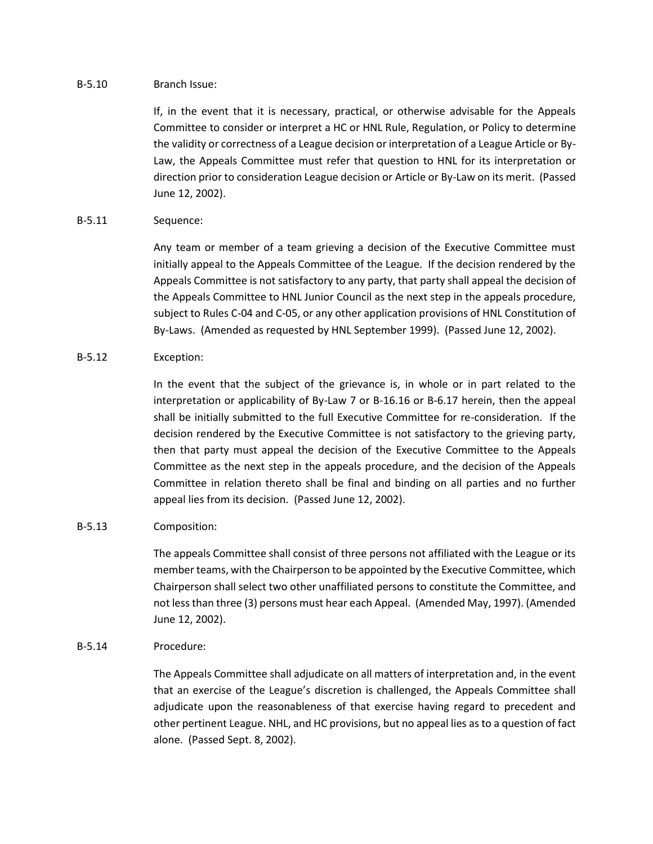## B-5.10 Branch Issue:

If, in the event that it is necessary, practical, or otherwise advisable for the Appeals Committee to consider or interpret a HC or HNL Rule, Regulation, or Policy to determine the validity or correctness of a League decision or interpretation of a League Article or By-Law, the Appeals Committee must refer that question to HNL for its interpretation or direction prior to consideration League decision or Article or By-Law on its merit. (Passed June 12, 2002).

# B-5.11 Sequence:

Any team or member of a team grieving a decision of the Executive Committee must initially appeal to the Appeals Committee of the League. If the decision rendered by the Appeals Committee is not satisfactory to any party, that party shall appeal the decision of the Appeals Committee to HNL Junior Council as the next step in the appeals procedure, subject to Rules C-04 and C-05, or any other application provisions of HNL Constitution of By-Laws. (Amended as requested by HNL September 1999). (Passed June 12, 2002).

# B-5.12 Exception:

In the event that the subject of the grievance is, in whole or in part related to the interpretation or applicability of By-Law 7 or B-16.16 or B-6.17 herein, then the appeal shall be initially submitted to the full Executive Committee for re-consideration. If the decision rendered by the Executive Committee is not satisfactory to the grieving party, then that party must appeal the decision of the Executive Committee to the Appeals Committee as the next step in the appeals procedure, and the decision of the Appeals Committee in relation thereto shall be final and binding on all parties and no further appeal lies from its decision. (Passed June 12, 2002).

# B-5.13 Composition:

The appeals Committee shall consist of three persons not affiliated with the League or its member teams, with the Chairperson to be appointed by the Executive Committee, which Chairperson shall select two other unaffiliated persons to constitute the Committee, and not less than three (3) persons must hear each Appeal. (Amended May, 1997). (Amended June 12, 2002).

# B-5.14 Procedure:

The Appeals Committee shall adjudicate on all matters of interpretation and, in the event that an exercise of the League's discretion is challenged, the Appeals Committee shall adjudicate upon the reasonableness of that exercise having regard to precedent and other pertinent League. NHL, and HC provisions, but no appeal lies as to a question of fact alone. (Passed Sept. 8, 2002).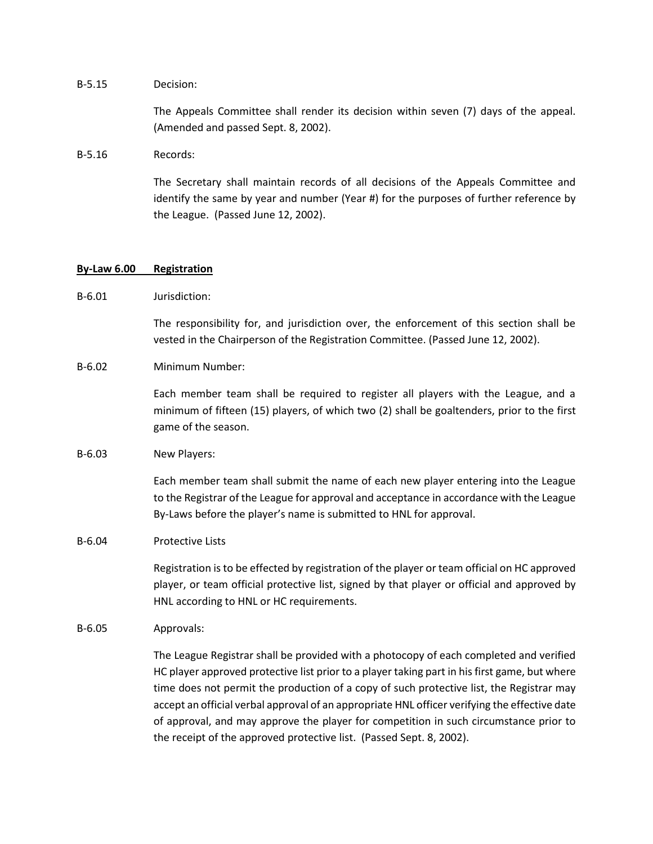#### B-5.15 Decision:

The Appeals Committee shall render its decision within seven (7) days of the appeal. (Amended and passed Sept. 8, 2002).

#### B-5.16 Records:

The Secretary shall maintain records of all decisions of the Appeals Committee and identify the same by year and number (Year #) for the purposes of further reference by the League. (Passed June 12, 2002).

## **By-Law 6.00 Registration**

## B-6.01 lurisdiction:

The responsibility for, and jurisdiction over, the enforcement of this section shall be vested in the Chairperson of the Registration Committee. (Passed June 12, 2002).

#### B-6.02 Minimum Number:

Each member team shall be required to register all players with the League, and a minimum of fifteen (15) players, of which two (2) shall be goaltenders, prior to the first game of the season.

#### B-6.03 New Players:

Each member team shall submit the name of each new player entering into the League to the Registrar of the League for approval and acceptance in accordance with the League By-Laws before the player's name is submitted to HNL for approval.

#### B-6.04 Protective Lists

Registration is to be effected by registration of the player or team official on HC approved player, or team official protective list, signed by that player or official and approved by HNL according to HNL or HC requirements.

## B-6.05 Approvals:

The League Registrar shall be provided with a photocopy of each completed and verified HC player approved protective list prior to a player taking part in his first game, but where time does not permit the production of a copy of such protective list, the Registrar may accept an official verbal approval of an appropriate HNL officer verifying the effective date of approval, and may approve the player for competition in such circumstance prior to the receipt of the approved protective list. (Passed Sept. 8, 2002).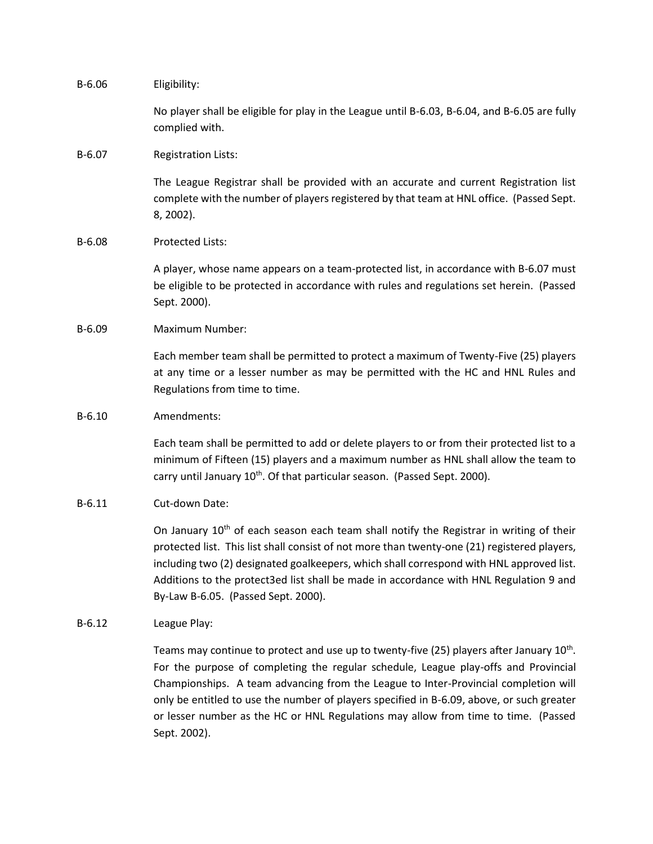B-6.06 Eligibility:

No player shall be eligible for play in the League until B-6.03, B-6.04, and B-6.05 are fully complied with.

## B-6.07 Registration Lists:

The League Registrar shall be provided with an accurate and current Registration list complete with the number of players registered by that team at HNL office. (Passed Sept. 8, 2002).

## B-6.08 Protected Lists:

A player, whose name appears on a team-protected list, in accordance with B-6.07 must be eligible to be protected in accordance with rules and regulations set herein. (Passed Sept. 2000).

## B-6.09 Maximum Number:

Each member team shall be permitted to protect a maximum of Twenty-Five (25) players at any time or a lesser number as may be permitted with the HC and HNL Rules and Regulations from time to time.

#### B-6.10 Amendments:

Each team shall be permitted to add or delete players to or from their protected list to a minimum of Fifteen (15) players and a maximum number as HNL shall allow the team to carry until January 10<sup>th</sup>. Of that particular season. (Passed Sept. 2000).

## B-6.11 Cut-down Date:

On January  $10<sup>th</sup>$  of each season each team shall notify the Registrar in writing of their protected list. This list shall consist of not more than twenty-one (21) registered players, including two (2) designated goalkeepers, which shall correspond with HNL approved list. Additions to the protect3ed list shall be made in accordance with HNL Regulation 9 and By-Law B-6.05. (Passed Sept. 2000).

## B-6.12 League Play:

Teams may continue to protect and use up to twenty-five (25) players after January 10<sup>th</sup>. For the purpose of completing the regular schedule, League play-offs and Provincial Championships. A team advancing from the League to Inter-Provincial completion will only be entitled to use the number of players specified in B-6.09, above, or such greater or lesser number as the HC or HNL Regulations may allow from time to time. (Passed Sept. 2002).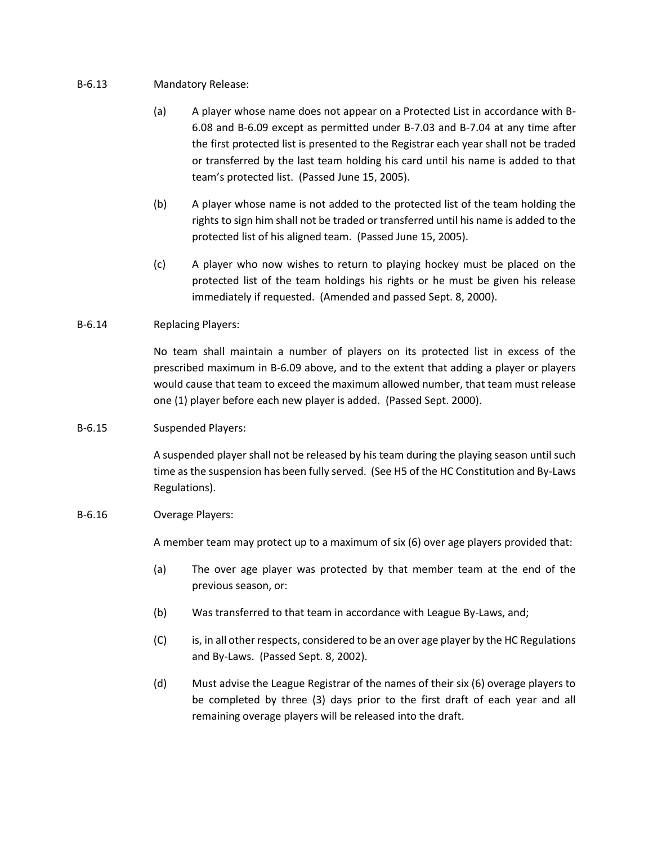## B-6.13 Mandatory Release:

- (a) A player whose name does not appear on a Protected List in accordance with B-6.08 and B-6.09 except as permitted under B-7.03 and B-7.04 at any time after the first protected list is presented to the Registrar each year shall not be traded or transferred by the last team holding his card until his name is added to that team's protected list. (Passed June 15, 2005).
- (b) A player whose name is not added to the protected list of the team holding the rights to sign him shall not be traded or transferred until his name is added to the protected list of his aligned team. (Passed June 15, 2005).
- (c) A player who now wishes to return to playing hockey must be placed on the protected list of the team holdings his rights or he must be given his release immediately if requested. (Amended and passed Sept. 8, 2000).

# B-6.14 Replacing Players:

No team shall maintain a number of players on its protected list in excess of the prescribed maximum in B-6.09 above, and to the extent that adding a player or players would cause that team to exceed the maximum allowed number, that team must release one (1) player before each new player is added. (Passed Sept. 2000).

# B-6.15 Suspended Players:

A suspended player shall not be released by his team during the playing season until such time as the suspension has been fully served. (See H5 of the HC Constitution and By-Laws Regulations).

## B-6.16 Overage Players:

A member team may protect up to a maximum of six (6) over age players provided that:

- (a) The over age player was protected by that member team at the end of the previous season, or:
- (b) Was transferred to that team in accordance with League By-Laws, and;
- (C) is, in all other respects, considered to be an over age player by the HC Regulations and By-Laws. (Passed Sept. 8, 2002).
- (d) Must advise the League Registrar of the names of their six (6) overage players to be completed by three (3) days prior to the first draft of each year and all remaining overage players will be released into the draft.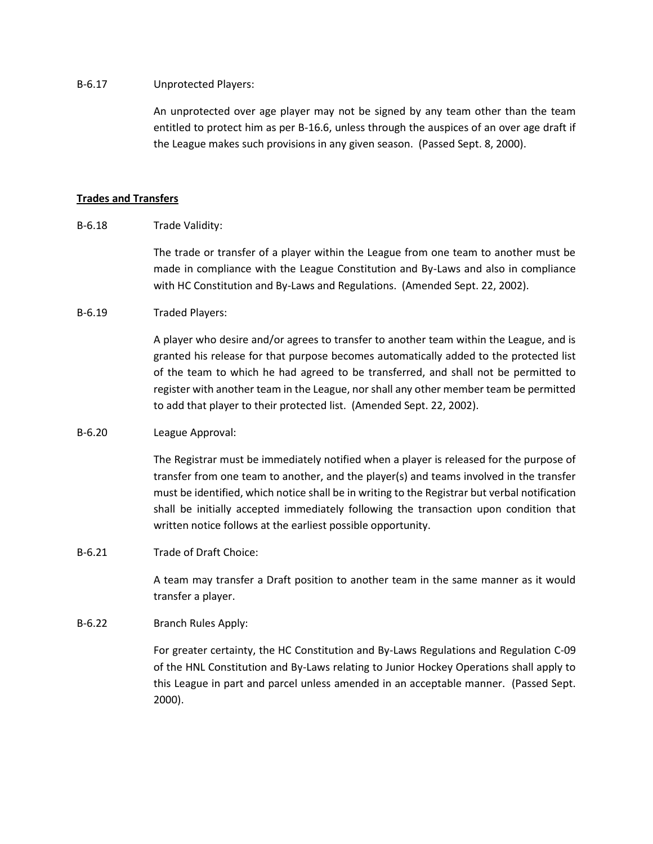## B-6.17 Unprotected Players:

An unprotected over age player may not be signed by any team other than the team entitled to protect him as per B-16.6, unless through the auspices of an over age draft if the League makes such provisions in any given season. (Passed Sept. 8, 2000).

## **Trades and Transfers**

B-6.18 Trade Validity:

The trade or transfer of a player within the League from one team to another must be made in compliance with the League Constitution and By-Laws and also in compliance with HC Constitution and By-Laws and Regulations. (Amended Sept. 22, 2002).

## B-6.19 Traded Players:

A player who desire and/or agrees to transfer to another team within the League, and is granted his release for that purpose becomes automatically added to the protected list of the team to which he had agreed to be transferred, and shall not be permitted to register with another team in the League, nor shall any other member team be permitted to add that player to their protected list. (Amended Sept. 22, 2002).

## B-6.20 League Approval:

The Registrar must be immediately notified when a player is released for the purpose of transfer from one team to another, and the player(s) and teams involved in the transfer must be identified, which notice shall be in writing to the Registrar but verbal notification shall be initially accepted immediately following the transaction upon condition that written notice follows at the earliest possible opportunity.

B-6.21 Trade of Draft Choice:

A team may transfer a Draft position to another team in the same manner as it would transfer a player.

# B-6.22 Branch Rules Apply:

For greater certainty, the HC Constitution and By-Laws Regulations and Regulation C-09 of the HNL Constitution and By-Laws relating to Junior Hockey Operations shall apply to this League in part and parcel unless amended in an acceptable manner. (Passed Sept. 2000).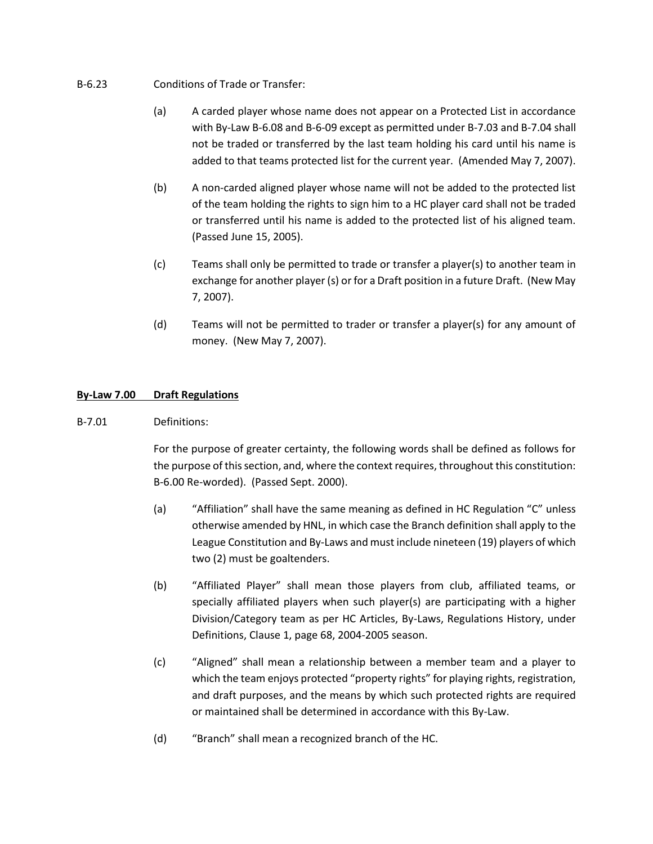- B-6.23 Conditions of Trade or Transfer:
	- (a) A carded player whose name does not appear on a Protected List in accordance with By-Law B-6.08 and B-6-09 except as permitted under B-7.03 and B-7.04 shall not be traded or transferred by the last team holding his card until his name is added to that teams protected list for the current year. (Amended May 7, 2007).
	- (b) A non-carded aligned player whose name will not be added to the protected list of the team holding the rights to sign him to a HC player card shall not be traded or transferred until his name is added to the protected list of his aligned team. (Passed June 15, 2005).
	- (c) Teams shall only be permitted to trade or transfer a player(s) to another team in exchange for another player (s) or for a Draft position in a future Draft. (New May 7, 2007).
	- (d) Teams will not be permitted to trader or transfer a player(s) for any amount of money. (New May 7, 2007).

# **By-Law 7.00 Draft Regulations**

B-7.01 Definitions:

For the purpose of greater certainty, the following words shall be defined as follows for the purpose of this section, and, where the context requires, throughout this constitution: B-6.00 Re-worded). (Passed Sept. 2000).

- (a) "Affiliation" shall have the same meaning as defined in HC Regulation "C" unless otherwise amended by HNL, in which case the Branch definition shall apply to the League Constitution and By-Laws and must include nineteen (19) players of which two (2) must be goaltenders.
- (b) "Affiliated Player" shall mean those players from club, affiliated teams, or specially affiliated players when such player(s) are participating with a higher Division/Category team as per HC Articles, By-Laws, Regulations History, under Definitions, Clause 1, page 68, 2004-2005 season.
- (c) "Aligned" shall mean a relationship between a member team and a player to which the team enjoys protected "property rights" for playing rights, registration, and draft purposes, and the means by which such protected rights are required or maintained shall be determined in accordance with this By-Law.
- (d) "Branch" shall mean a recognized branch of the HC.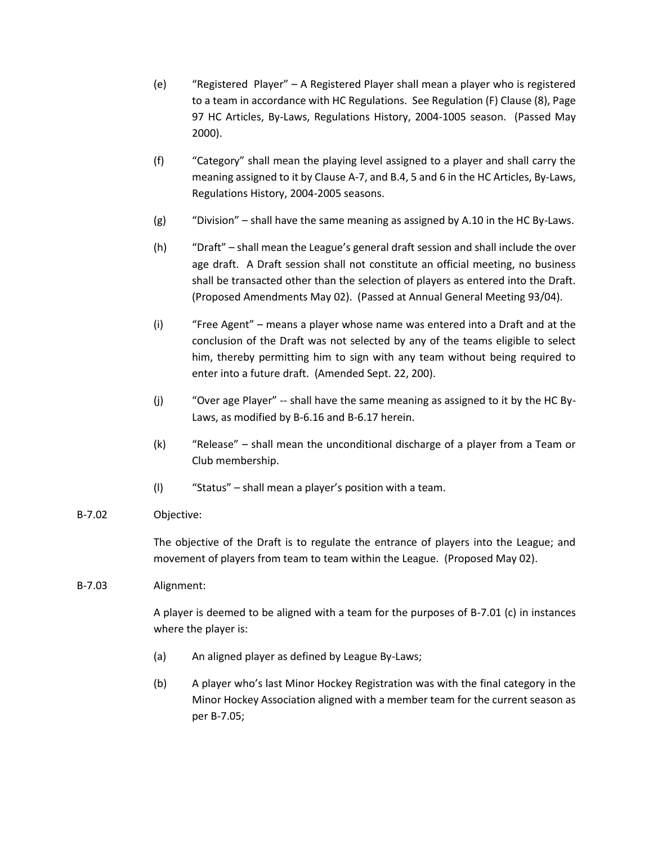- (e) "Registered Player" A Registered Player shall mean a player who is registered to a team in accordance with HC Regulations. See Regulation (F) Clause (8), Page 97 HC Articles, By-Laws, Regulations History, 2004-1005 season. (Passed May 2000).
- (f) "Category" shall mean the playing level assigned to a player and shall carry the meaning assigned to it by Clause A-7, and B.4, 5 and 6 in the HC Articles, By-Laws, Regulations History, 2004-2005 seasons.
- (g) "Division" shall have the same meaning as assigned by A.10 in the HC By-Laws.
- (h) "Draft" shall mean the League's general draft session and shall include the over age draft. A Draft session shall not constitute an official meeting, no business shall be transacted other than the selection of players as entered into the Draft. (Proposed Amendments May 02). (Passed at Annual General Meeting 93/04).
- (i) "Free Agent" means a player whose name was entered into a Draft and at the conclusion of the Draft was not selected by any of the teams eligible to select him, thereby permitting him to sign with any team without being required to enter into a future draft. (Amended Sept. 22, 200).
- (j) "Over age Player" -- shall have the same meaning as assigned to it by the HC By-Laws, as modified by B-6.16 and B-6.17 herein.
- (k) "Release" shall mean the unconditional discharge of a player from a Team or Club membership.
- (l) "Status" shall mean a player's position with a team.

# B-7.02 Objective:

The objective of the Draft is to regulate the entrance of players into the League; and movement of players from team to team within the League. (Proposed May 02).

# B-7.03 Alignment:

A player is deemed to be aligned with a team for the purposes of B-7.01 (c) in instances where the player is:

- (a) An aligned player as defined by League By-Laws;
- (b) A player who's last Minor Hockey Registration was with the final category in the Minor Hockey Association aligned with a member team for the current season as per B-7.05;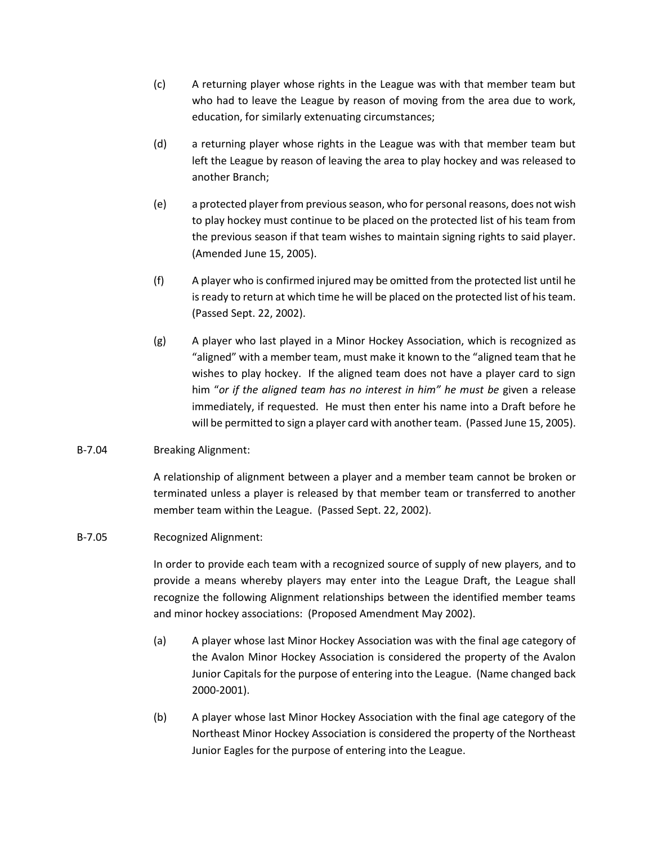- (c) A returning player whose rights in the League was with that member team but who had to leave the League by reason of moving from the area due to work, education, for similarly extenuating circumstances;
- (d) a returning player whose rights in the League was with that member team but left the League by reason of leaving the area to play hockey and was released to another Branch;
- (e) a protected player from previous season, who for personal reasons, does not wish to play hockey must continue to be placed on the protected list of his team from the previous season if that team wishes to maintain signing rights to said player. (Amended June 15, 2005).
- (f) A player who is confirmed injured may be omitted from the protected list until he is ready to return at which time he will be placed on the protected list of his team. (Passed Sept. 22, 2002).
- (g) A player who last played in a Minor Hockey Association, which is recognized as "aligned" with a member team, must make it known to the "aligned team that he wishes to play hockey. If the aligned team does not have a player card to sign him "*or if the aligned team has no interest in him" he must be* given a release immediately, if requested. He must then enter his name into a Draft before he will be permitted to sign a player card with another team. (Passed June 15, 2005).

# B-7.04 Breaking Alignment:

A relationship of alignment between a player and a member team cannot be broken or terminated unless a player is released by that member team or transferred to another member team within the League. (Passed Sept. 22, 2002).

# B-7.05 Recognized Alignment:

In order to provide each team with a recognized source of supply of new players, and to provide a means whereby players may enter into the League Draft, the League shall recognize the following Alignment relationships between the identified member teams and minor hockey associations: (Proposed Amendment May 2002).

- (a) A player whose last Minor Hockey Association was with the final age category of the Avalon Minor Hockey Association is considered the property of the Avalon Junior Capitals for the purpose of entering into the League. (Name changed back 2000-2001).
- (b) A player whose last Minor Hockey Association with the final age category of the Northeast Minor Hockey Association is considered the property of the Northeast Junior Eagles for the purpose of entering into the League.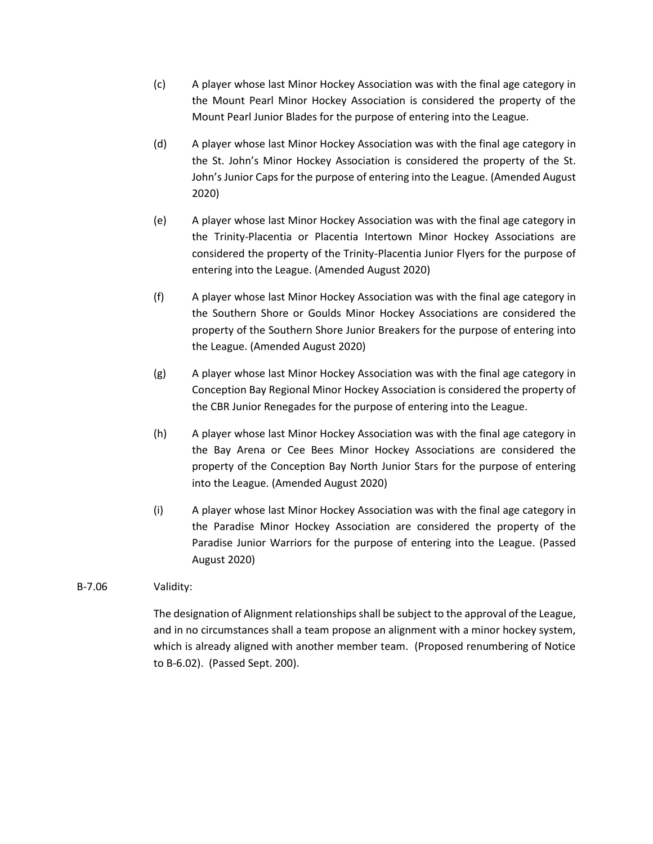- (c) A player whose last Minor Hockey Association was with the final age category in the Mount Pearl Minor Hockey Association is considered the property of the Mount Pearl Junior Blades for the purpose of entering into the League.
- (d) A player whose last Minor Hockey Association was with the final age category in the St. John's Minor Hockey Association is considered the property of the St. John's Junior Caps for the purpose of entering into the League. (Amended August 2020)
- (e) A player whose last Minor Hockey Association was with the final age category in the Trinity-Placentia or Placentia Intertown Minor Hockey Associations are considered the property of the Trinity-Placentia Junior Flyers for the purpose of entering into the League. (Amended August 2020)
- (f) A player whose last Minor Hockey Association was with the final age category in the Southern Shore or Goulds Minor Hockey Associations are considered the property of the Southern Shore Junior Breakers for the purpose of entering into the League. (Amended August 2020)
- (g) A player whose last Minor Hockey Association was with the final age category in Conception Bay Regional Minor Hockey Association is considered the property of the CBR Junior Renegades for the purpose of entering into the League.
- (h) A player whose last Minor Hockey Association was with the final age category in the Bay Arena or Cee Bees Minor Hockey Associations are considered the property of the Conception Bay North Junior Stars for the purpose of entering into the League. (Amended August 2020)
- (i) A player whose last Minor Hockey Association was with the final age category in the Paradise Minor Hockey Association are considered the property of the Paradise Junior Warriors for the purpose of entering into the League. (Passed August 2020)

# B-7.06 Validity:

The designation of Alignment relationships shall be subject to the approval of the League, and in no circumstances shall a team propose an alignment with a minor hockey system, which is already aligned with another member team. (Proposed renumbering of Notice to B-6.02). (Passed Sept. 200).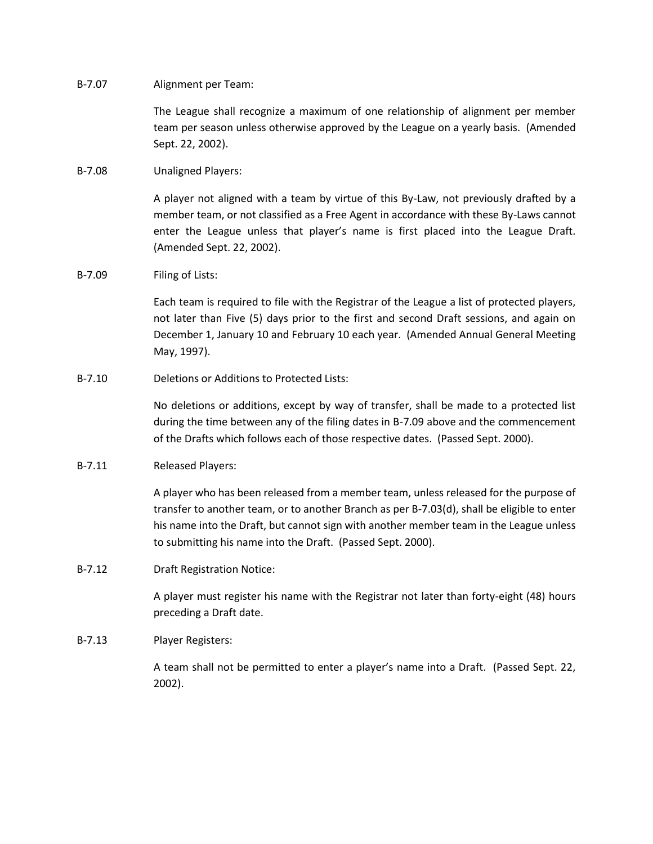## B-7.07 Alignment per Team:

The League shall recognize a maximum of one relationship of alignment per member team per season unless otherwise approved by the League on a yearly basis. (Amended Sept. 22, 2002).

# B-7.08 Unaligned Players:

A player not aligned with a team by virtue of this By-Law, not previously drafted by a member team, or not classified as a Free Agent in accordance with these By-Laws cannot enter the League unless that player's name is first placed into the League Draft. (Amended Sept. 22, 2002).

## B-7.09 Filing of Lists:

Each team is required to file with the Registrar of the League a list of protected players, not later than Five (5) days prior to the first and second Draft sessions, and again on December 1, January 10 and February 10 each year. (Amended Annual General Meeting May, 1997).

## B-7.10 Deletions or Additions to Protected Lists:

No deletions or additions, except by way of transfer, shall be made to a protected list during the time between any of the filing dates in B-7.09 above and the commencement of the Drafts which follows each of those respective dates. (Passed Sept. 2000).

# B-7.11 Released Players:

A player who has been released from a member team, unless released for the purpose of transfer to another team, or to another Branch as per B-7.03(d), shall be eligible to enter his name into the Draft, but cannot sign with another member team in the League unless to submitting his name into the Draft. (Passed Sept. 2000).

# B-7.12 Draft Registration Notice:

A player must register his name with the Registrar not later than forty-eight (48) hours preceding a Draft date.

# B-7.13 Player Registers:

A team shall not be permitted to enter a player's name into a Draft. (Passed Sept. 22, 2002).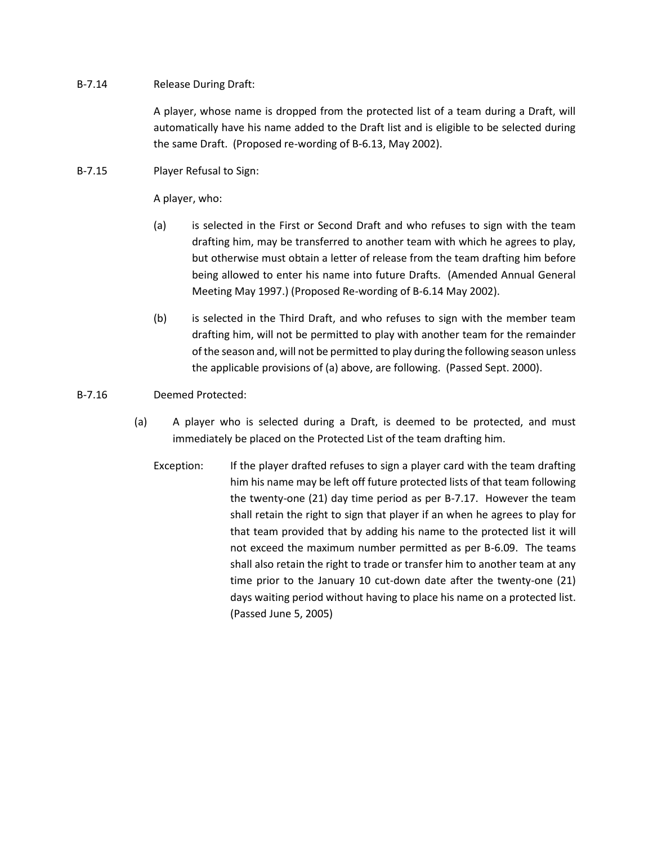# B-7.14 Release During Draft:

A player, whose name is dropped from the protected list of a team during a Draft, will automatically have his name added to the Draft list and is eligible to be selected during the same Draft. (Proposed re-wording of B-6.13, May 2002).

B-7.15 Player Refusal to Sign:

A player, who:

- (a) is selected in the First or Second Draft and who refuses to sign with the team drafting him, may be transferred to another team with which he agrees to play, but otherwise must obtain a letter of release from the team drafting him before being allowed to enter his name into future Drafts. (Amended Annual General Meeting May 1997.) (Proposed Re-wording of B-6.14 May 2002).
- (b) is selected in the Third Draft, and who refuses to sign with the member team drafting him, will not be permitted to play with another team for the remainder of the season and, will not be permitted to play during the following season unless the applicable provisions of (a) above, are following. (Passed Sept. 2000).

# B-7.16 Deemed Protected:

- (a) A player who is selected during a Draft, is deemed to be protected, and must immediately be placed on the Protected List of the team drafting him.
	- Exception: If the player drafted refuses to sign a player card with the team drafting him his name may be left off future protected lists of that team following the twenty-one (21) day time period as per B-7.17. However the team shall retain the right to sign that player if an when he agrees to play for that team provided that by adding his name to the protected list it will not exceed the maximum number permitted as per B-6.09. The teams shall also retain the right to trade or transfer him to another team at any time prior to the January 10 cut-down date after the twenty-one (21) days waiting period without having to place his name on a protected list. (Passed June 5, 2005)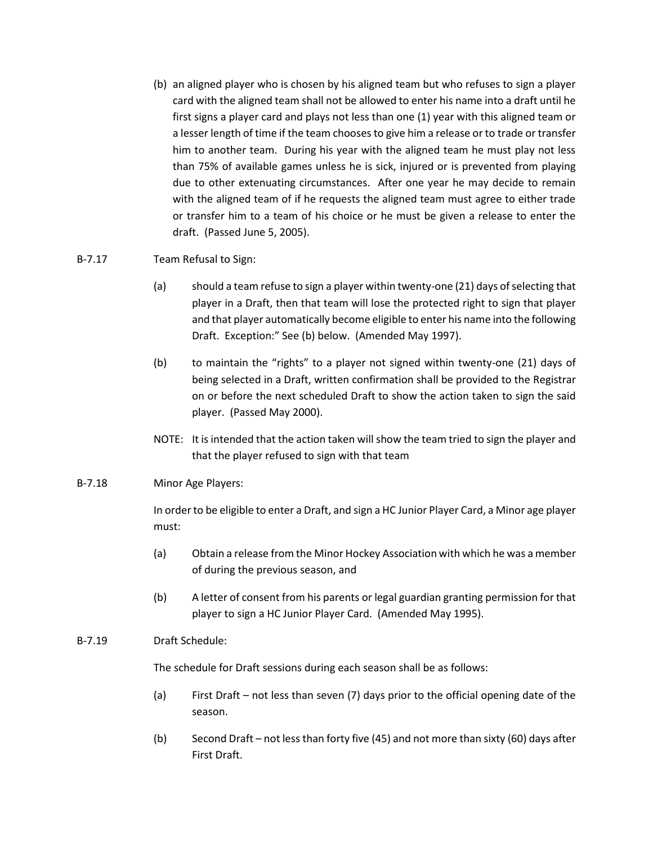(b) an aligned player who is chosen by his aligned team but who refuses to sign a player card with the aligned team shall not be allowed to enter his name into a draft until he first signs a player card and plays not less than one (1) year with this aligned team or a lesser length of time if the team chooses to give him a release or to trade or transfer him to another team. During his year with the aligned team he must play not less than 75% of available games unless he is sick, injured or is prevented from playing due to other extenuating circumstances. After one year he may decide to remain with the aligned team of if he requests the aligned team must agree to either trade or transfer him to a team of his choice or he must be given a release to enter the draft. (Passed June 5, 2005).

# B-7.17 Team Refusal to Sign:

- (a) should a team refuse to sign a player within twenty-one (21) days of selecting that player in a Draft, then that team will lose the protected right to sign that player and that player automatically become eligible to enter his name into the following Draft. Exception:" See (b) below. (Amended May 1997).
- (b) to maintain the "rights" to a player not signed within twenty-one (21) days of being selected in a Draft, written confirmation shall be provided to the Registrar on or before the next scheduled Draft to show the action taken to sign the said player. (Passed May 2000).
- NOTE: It is intended that the action taken will show the team tried to sign the player and that the player refused to sign with that team

# B-7.18 Minor Age Players:

In order to be eligible to enter a Draft, and sign a HC Junior Player Card, a Minor age player must:

- (a) Obtain a release from the Minor Hockey Association with which he was a member of during the previous season, and
- (b) A letter of consent from his parents or legal guardian granting permission for that player to sign a HC Junior Player Card. (Amended May 1995).

# B-7.19 Draft Schedule:

The schedule for Draft sessions during each season shall be as follows:

- (a) First Draft not less than seven (7) days prior to the official opening date of the season.
- (b) Second Draft not less than forty five (45) and not more than sixty (60) days after First Draft.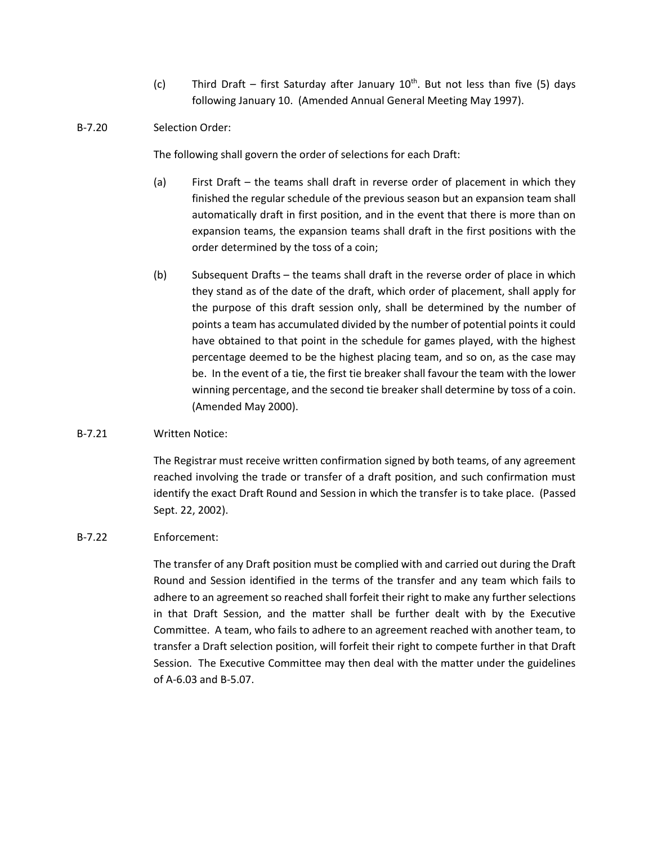(c) Third Draft – first Saturday after January  $10^{th}$ . But not less than five (5) days following January 10. (Amended Annual General Meeting May 1997).

# B-7.20 Selection Order:

The following shall govern the order of selections for each Draft:

- (a) First Draft the teams shall draft in reverse order of placement in which they finished the regular schedule of the previous season but an expansion team shall automatically draft in first position, and in the event that there is more than on expansion teams, the expansion teams shall draft in the first positions with the order determined by the toss of a coin;
- (b) Subsequent Drafts the teams shall draft in the reverse order of place in which they stand as of the date of the draft, which order of placement, shall apply for the purpose of this draft session only, shall be determined by the number of points a team has accumulated divided by the number of potential points it could have obtained to that point in the schedule for games played, with the highest percentage deemed to be the highest placing team, and so on, as the case may be. In the event of a tie, the first tie breaker shall favour the team with the lower winning percentage, and the second tie breaker shall determine by toss of a coin. (Amended May 2000).

# B-7.21 Written Notice:

The Registrar must receive written confirmation signed by both teams, of any agreement reached involving the trade or transfer of a draft position, and such confirmation must identify the exact Draft Round and Session in which the transfer is to take place. (Passed Sept. 22, 2002).

# B-7.22 Enforcement:

The transfer of any Draft position must be complied with and carried out during the Draft Round and Session identified in the terms of the transfer and any team which fails to adhere to an agreement so reached shall forfeit their right to make any further selections in that Draft Session, and the matter shall be further dealt with by the Executive Committee. A team, who fails to adhere to an agreement reached with another team, to transfer a Draft selection position, will forfeit their right to compete further in that Draft Session. The Executive Committee may then deal with the matter under the guidelines of A-6.03 and B-5.07.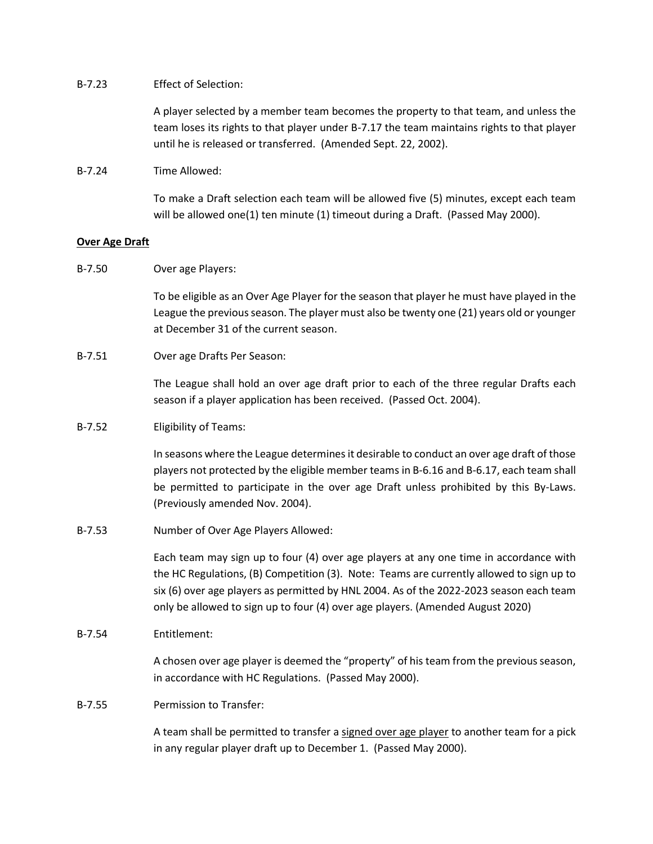## B-7.23 Effect of Selection:

A player selected by a member team becomes the property to that team, and unless the team loses its rights to that player under B-7.17 the team maintains rights to that player until he is released or transferred. (Amended Sept. 22, 2002).

# B-7.24 Time Allowed:

To make a Draft selection each team will be allowed five (5) minutes, except each team will be allowed one(1) ten minute (1) timeout during a Draft. (Passed May 2000).

## **Over Age Draft**

B-7.50 Over age Players:

To be eligible as an Over Age Player for the season that player he must have played in the League the previous season. The player must also be twenty one (21) years old or younger at December 31 of the current season.

## B-7.51 Over age Drafts Per Season:

The League shall hold an over age draft prior to each of the three regular Drafts each season if a player application has been received. (Passed Oct. 2004).

# B-7.52 Eligibility of Teams:

In seasons where the League determines it desirable to conduct an over age draft of those players not protected by the eligible member teams in B-6.16 and B-6.17, each team shall be permitted to participate in the over age Draft unless prohibited by this By-Laws. (Previously amended Nov. 2004).

B-7.53 Number of Over Age Players Allowed:

Each team may sign up to four (4) over age players at any one time in accordance with the HC Regulations, (B) Competition (3). Note: Teams are currently allowed to sign up to six (6) over age players as permitted by HNL 2004. As of the 2022-2023 season each team only be allowed to sign up to four (4) over age players. (Amended August 2020)

# B-7.54 Entitlement:

A chosen over age player is deemed the "property" of his team from the previous season, in accordance with HC Regulations. (Passed May 2000).

## B-7.55 Permission to Transfer:

A team shall be permitted to transfer a signed over age player to another team for a pick in any regular player draft up to December 1. (Passed May 2000).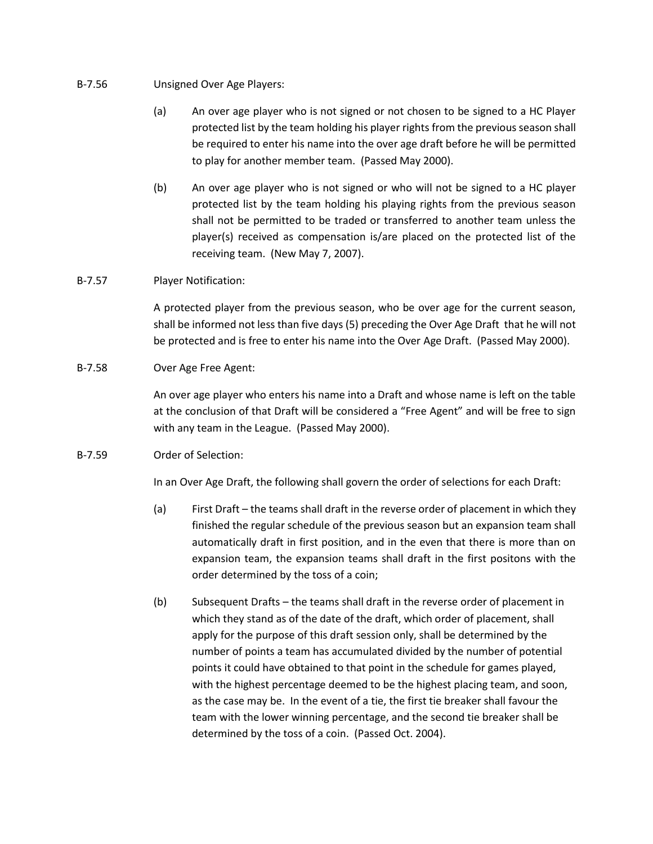# B-7.56 Unsigned Over Age Players:

- (a) An over age player who is not signed or not chosen to be signed to a HC Player protected list by the team holding his player rights from the previous season shall be required to enter his name into the over age draft before he will be permitted to play for another member team. (Passed May 2000).
- (b) An over age player who is not signed or who will not be signed to a HC player protected list by the team holding his playing rights from the previous season shall not be permitted to be traded or transferred to another team unless the player(s) received as compensation is/are placed on the protected list of the receiving team. (New May 7, 2007).

# B-7.57 Player Notification:

A protected player from the previous season, who be over age for the current season, shall be informed not less than five days (5) preceding the Over Age Draft that he will not be protected and is free to enter his name into the Over Age Draft. (Passed May 2000).

# B-7.58 Over Age Free Agent:

An over age player who enters his name into a Draft and whose name is left on the table at the conclusion of that Draft will be considered a "Free Agent" and will be free to sign with any team in the League. (Passed May 2000).

# B-7.59 Order of Selection:

In an Over Age Draft, the following shall govern the order of selections for each Draft:

- (a) First Draft the teams shall draft in the reverse order of placement in which they finished the regular schedule of the previous season but an expansion team shall automatically draft in first position, and in the even that there is more than on expansion team, the expansion teams shall draft in the first positons with the order determined by the toss of a coin;
- (b) Subsequent Drafts the teams shall draft in the reverse order of placement in which they stand as of the date of the draft, which order of placement, shall apply for the purpose of this draft session only, shall be determined by the number of points a team has accumulated divided by the number of potential points it could have obtained to that point in the schedule for games played, with the highest percentage deemed to be the highest placing team, and soon, as the case may be. In the event of a tie, the first tie breaker shall favour the team with the lower winning percentage, and the second tie breaker shall be determined by the toss of a coin. (Passed Oct. 2004).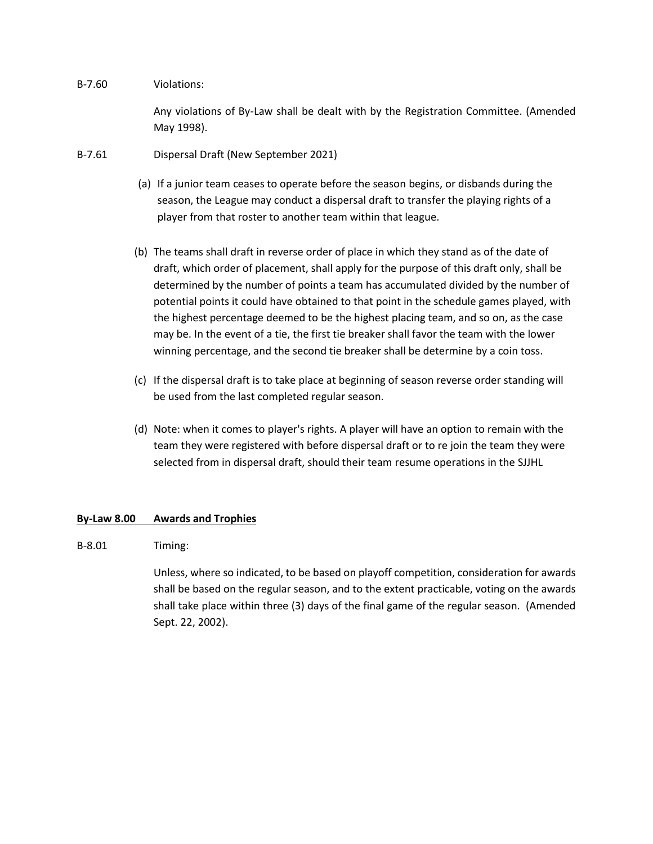## B-7.60 Violations:

Any violations of By-Law shall be dealt with by the Registration Committee. (Amended May 1998).

- B-7.61 Dispersal Draft (New September 2021)
	- (a) If a junior team ceases to operate before the season begins, or disbands during the season, the League may conduct a dispersal draft to transfer the playing rights of a player from that roster to another team within that league.
	- (b) The teams shall draft in reverse order of place in which they stand as of the date of draft, which order of placement, shall apply for the purpose of this draft only, shall be determined by the number of points a team has accumulated divided by the number of potential points it could have obtained to that point in the schedule games played, with the highest percentage deemed to be the highest placing team, and so on, as the case may be. In the event of a tie, the first tie breaker shall favor the team with the lower winning percentage, and the second tie breaker shall be determine by a coin toss.
	- (c) If the dispersal draft is to take place at beginning of season reverse order standing will be used from the last completed regular season.
	- (d) Note: when it comes to player's rights. A player will have an option to remain with the team they were registered with before dispersal draft or to re join the team they were selected from in dispersal draft, should their team resume operations in the SJJHL

# **By-Law 8.00 Awards and Trophies**

# B-8.01 Timing:

Unless, where so indicated, to be based on playoff competition, consideration for awards shall be based on the regular season, and to the extent practicable, voting on the awards shall take place within three (3) days of the final game of the regular season. (Amended Sept. 22, 2002).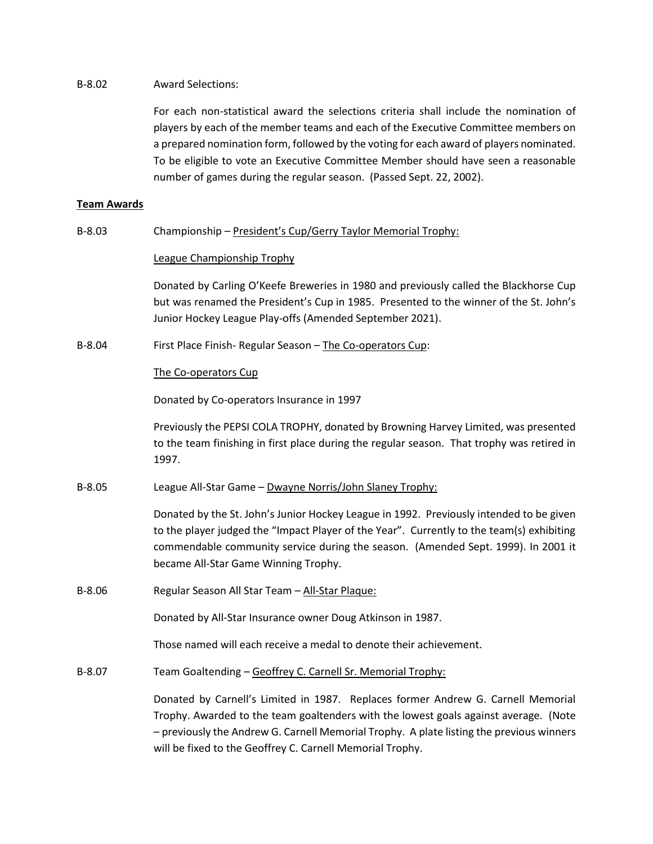## B-8.02 Award Selections:

For each non-statistical award the selections criteria shall include the nomination of players by each of the member teams and each of the Executive Committee members on a prepared nomination form, followed by the voting for each award of players nominated. To be eligible to vote an Executive Committee Member should have seen a reasonable number of games during the regular season. (Passed Sept. 22, 2002).

# **Team Awards**

B-8.03 Championship – President's Cup/Gerry Taylor Memorial Trophy:

## League Championship Trophy

Donated by Carling O'Keefe Breweries in 1980 and previously called the Blackhorse Cup but was renamed the President's Cup in 1985. Presented to the winner of the St. John's Junior Hockey League Play-offs (Amended September 2021).

B-8.04 First Place Finish- Regular Season – The Co-operators Cup:

## The Co-operators Cup

Donated by Co-operators Insurance in 1997

Previously the PEPSI COLA TROPHY, donated by Browning Harvey Limited, was presented to the team finishing in first place during the regular season. That trophy was retired in 1997.

B-8.05 League All-Star Game – Dwayne Norris/John Slaney Trophy:

Donated by the St. John's Junior Hockey League in 1992. Previously intended to be given to the player judged the "Impact Player of the Year". Currently to the team(s) exhibiting commendable community service during the season. (Amended Sept. 1999). In 2001 it became All-Star Game Winning Trophy.

B-8.06 Regular Season All Star Team - All-Star Plaque:

Donated by All-Star Insurance owner Doug Atkinson in 1987.

Those named will each receive a medal to denote their achievement.

B-8.07 Team Goaltending – Geoffrey C. Carnell Sr. Memorial Trophy:

Donated by Carnell's Limited in 1987. Replaces former Andrew G. Carnell Memorial Trophy. Awarded to the team goaltenders with the lowest goals against average. (Note – previously the Andrew G. Carnell Memorial Trophy. A plate listing the previous winners will be fixed to the Geoffrey C. Carnell Memorial Trophy.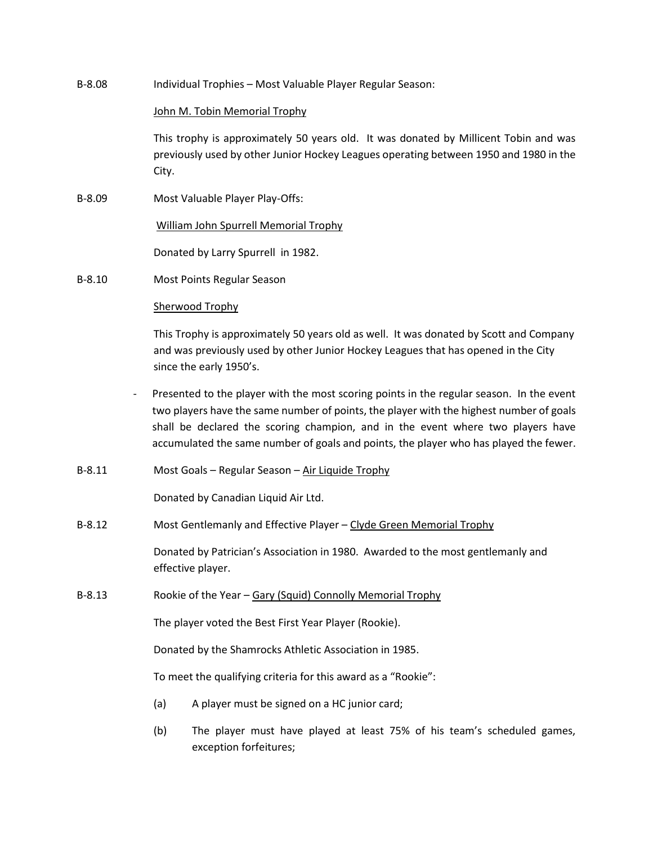B-8.08 Individual Trophies – Most Valuable Player Regular Season:

#### John M. Tobin Memorial Trophy

This trophy is approximately 50 years old. It was donated by Millicent Tobin and was previously used by other Junior Hockey Leagues operating between 1950 and 1980 in the City.

B-8.09 Most Valuable Player Play-Offs:

William John Spurrell Memorial Trophy

Donated by Larry Spurrell in 1982.

B-8.10 Most Points Regular Season

## Sherwood Trophy

This Trophy is approximately 50 years old as well. It was donated by Scott and Company and was previously used by other Junior Hockey Leagues that has opened in the City since the early 1950's.

- Presented to the player with the most scoring points in the regular season. In the event two players have the same number of points, the player with the highest number of goals shall be declared the scoring champion, and in the event where two players have accumulated the same number of goals and points, the player who has played the fewer.
- B-8.11 Most Goals Regular Season Air Liquide Trophy

Donated by Canadian Liquid Air Ltd.

B-8.12 Most Gentlemanly and Effective Player – Clyde Green Memorial Trophy

Donated by Patrician's Association in 1980. Awarded to the most gentlemanly and effective player.

B-8.13 Rookie of the Year – Gary (Squid) Connolly Memorial Trophy

The player voted the Best First Year Player (Rookie).

Donated by the Shamrocks Athletic Association in 1985.

To meet the qualifying criteria for this award as a "Rookie":

- (a) A player must be signed on a HC junior card;
- (b) The player must have played at least 75% of his team's scheduled games, exception forfeitures;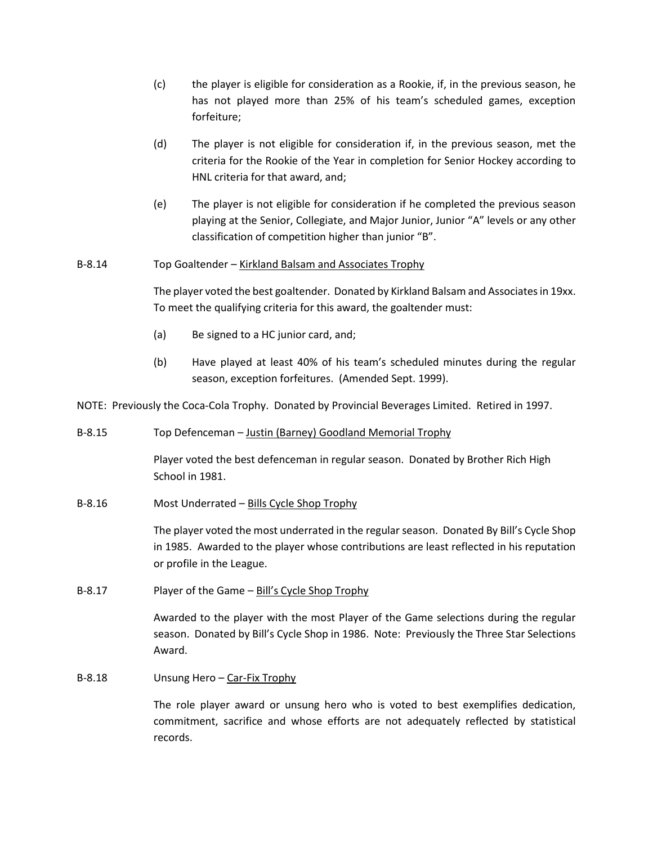- (c) the player is eligible for consideration as a Rookie, if, in the previous season, he has not played more than 25% of his team's scheduled games, exception forfeiture;
- (d) The player is not eligible for consideration if, in the previous season, met the criteria for the Rookie of the Year in completion for Senior Hockey according to HNL criteria for that award, and;
- (e) The player is not eligible for consideration if he completed the previous season playing at the Senior, Collegiate, and Major Junior, Junior "A" levels or any other classification of competition higher than junior "B".

# B-8.14 Top Goaltender – Kirkland Balsam and Associates Trophy

The player voted the best goaltender. Donated by Kirkland Balsam and Associates in 19xx. To meet the qualifying criteria for this award, the goaltender must:

- (a) Be signed to a HC junior card, and;
- (b) Have played at least 40% of his team's scheduled minutes during the regular season, exception forfeitures. (Amended Sept. 1999).

NOTE: Previously the Coca-Cola Trophy. Donated by Provincial Beverages Limited. Retired in 1997.

## B-8.15 Top Defenceman – Justin (Barney) Goodland Memorial Trophy

Player voted the best defenceman in regular season. Donated by Brother Rich High School in 1981.

B-8.16 Most Underrated – Bills Cycle Shop Trophy

The player voted the most underrated in the regular season. Donated By Bill's Cycle Shop in 1985. Awarded to the player whose contributions are least reflected in his reputation or profile in the League.

B-8.17 Player of the Game - Bill's Cycle Shop Trophy

Awarded to the player with the most Player of the Game selections during the regular season. Donated by Bill's Cycle Shop in 1986. Note: Previously the Three Star Selections Award.

B-8.18 Unsung Hero – Car-Fix Trophy

The role player award or unsung hero who is voted to best exemplifies dedication, commitment, sacrifice and whose efforts are not adequately reflected by statistical records.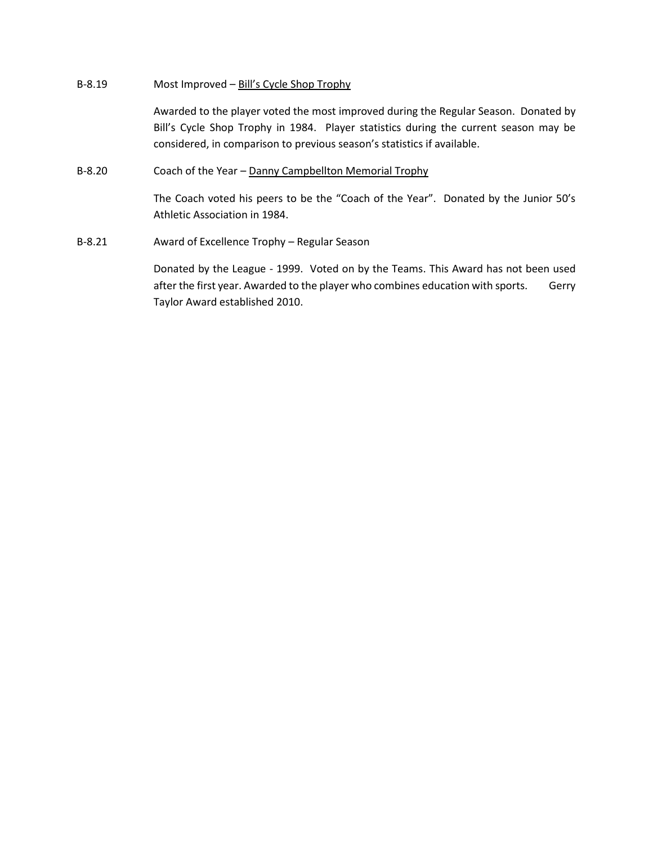## B-8.19 Most Improved – Bill's Cycle Shop Trophy

Awarded to the player voted the most improved during the Regular Season. Donated by Bill's Cycle Shop Trophy in 1984. Player statistics during the current season may be considered, in comparison to previous season's statistics if available.

## B-8.20 Coach of the Year – Danny Campbellton Memorial Trophy

The Coach voted his peers to be the "Coach of the Year". Donated by the Junior 50's Athletic Association in 1984.

B-8.21 Award of Excellence Trophy – Regular Season

Donated by the League - 1999. Voted on by the Teams. This Award has not been used after the first year. Awarded to the player who combines education with sports. Gerry Taylor Award established 2010.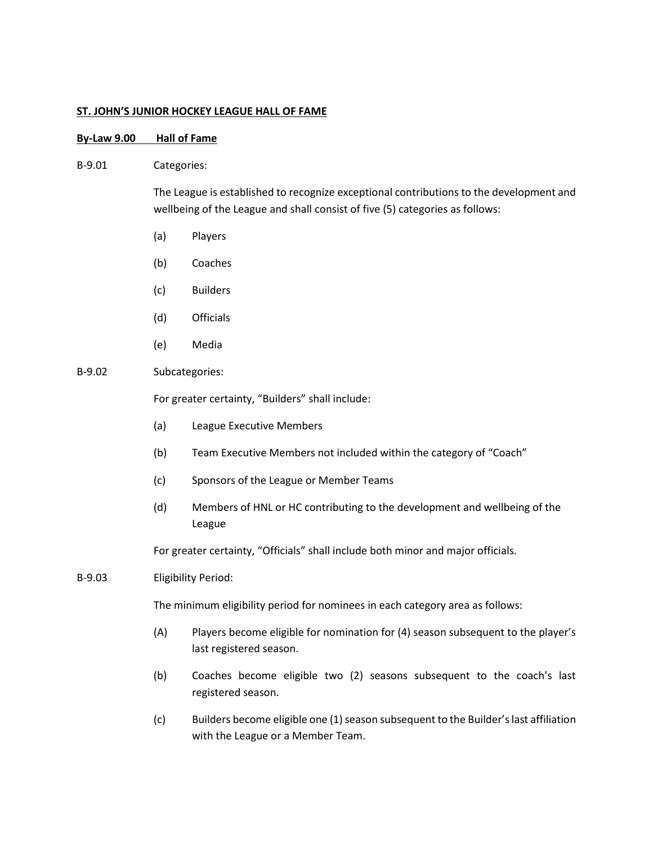## **ST. JOHN'S JUNIOR HOCKEY LEAGUE HALL OF FAME**

## **By-Law 9.00 Hall of Fame**

#### B-9.01 Categories:

The League is established to recognize exceptional contributions to the development and wellbeing of the League and shall consist of five (5) categories as follows:

- (a) Players
- (b) Coaches
- (c) Builders
- (d) Officials
- (e) Media

## B-9.02 Subcategories:

For greater certainty, "Builders" shall include:

- (a) League Executive Members
- (b) Team Executive Members not included within the category of "Coach"
- (c) Sponsors of the League or Member Teams
- (d) Members of HNL or HC contributing to the development and wellbeing of the League

For greater certainty, "Officials" shall include both minor and major officials.

B-9.03 Eligibility Period:

The minimum eligibility period for nominees in each category area as follows:

- (A) Players become eligible for nomination for (4) season subsequent to the player's last registered season.
- (b) Coaches become eligible two (2) seasons subsequent to the coach's last registered season.
- (c) Builders become eligible one (1) season subsequent to the Builder's last affiliation with the League or a Member Team.